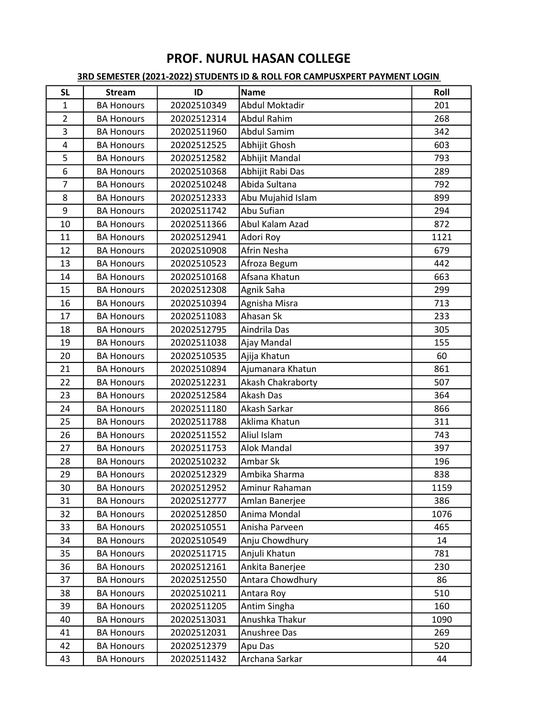| <b>SL</b>      | <b>Stream</b>     | ID          | <b>Name</b>        | Roll |
|----------------|-------------------|-------------|--------------------|------|
| $\mathbf{1}$   | <b>BA Honours</b> | 20202510349 | Abdul Moktadir     | 201  |
| $\overline{2}$ | <b>BA Honours</b> | 20202512314 | <b>Abdul Rahim</b> | 268  |
| 3              | <b>BA Honours</b> | 20202511960 | <b>Abdul Samim</b> | 342  |
| 4              | <b>BA Honours</b> | 20202512525 | Abhijit Ghosh      | 603  |
| 5              | <b>BA Honours</b> | 20202512582 | Abhijit Mandal     | 793  |
| 6              | <b>BA Honours</b> | 20202510368 | Abhijit Rabi Das   | 289  |
| $\overline{7}$ | <b>BA Honours</b> | 20202510248 | Abida Sultana      | 792  |
| 8              | <b>BA Honours</b> | 20202512333 | Abu Mujahid Islam  | 899  |
| 9              | <b>BA Honours</b> | 20202511742 | Abu Sufian         | 294  |
| 10             | <b>BA Honours</b> | 20202511366 | Abul Kalam Azad    | 872  |
| 11             | <b>BA Honours</b> | 20202512941 | Adori Roy          | 1121 |
| 12             | <b>BA Honours</b> | 20202510908 | Afrin Nesha        | 679  |
| 13             | <b>BA Honours</b> | 20202510523 | Afroza Begum       | 442  |
| 14             | <b>BA Honours</b> | 20202510168 | Afsana Khatun      | 663  |
| 15             | <b>BA Honours</b> | 20202512308 | Agnik Saha         | 299  |
| 16             | <b>BA Honours</b> | 20202510394 | Agnisha Misra      | 713  |
| 17             | <b>BA Honours</b> | 20202511083 | Ahasan Sk          | 233  |
| 18             | <b>BA Honours</b> | 20202512795 | Aindrila Das       | 305  |
| 19             | <b>BA Honours</b> | 20202511038 | Ajay Mandal        | 155  |
| 20             | <b>BA Honours</b> | 20202510535 | Ajija Khatun       | 60   |
| 21             | <b>BA Honours</b> | 20202510894 | Ajumanara Khatun   | 861  |
| 22             | <b>BA Honours</b> | 20202512231 | Akash Chakraborty  | 507  |
| 23             | <b>BA Honours</b> | 20202512584 | Akash Das          | 364  |
| 24             | <b>BA Honours</b> | 20202511180 | Akash Sarkar       | 866  |
| 25             | <b>BA Honours</b> | 20202511788 | Aklima Khatun      | 311  |
| 26             | <b>BA Honours</b> | 20202511552 | Aliul Islam        | 743  |
| 27             | <b>BA Honours</b> | 20202511753 | <b>Alok Mandal</b> | 397  |
| 28             | <b>BA Honours</b> | 20202510232 | Ambar Sk           | 196  |
| 29             | <b>BA Honours</b> | 20202512329 | Ambika Sharma      | 838  |
| 30             | <b>BA Honours</b> | 20202512952 | Aminur Rahaman     | 1159 |
| 31             | <b>BA Honours</b> | 20202512777 | Amlan Banerjee     | 386  |
| 32             | <b>BA Honours</b> | 20202512850 | Anima Mondal       | 1076 |
| 33             | <b>BA Honours</b> | 20202510551 | Anisha Parveen     | 465  |
| 34             | <b>BA Honours</b> | 20202510549 | Anju Chowdhury     | 14   |
| 35             | <b>BA Honours</b> | 20202511715 | Anjuli Khatun      | 781  |
| 36             | <b>BA Honours</b> | 20202512161 | Ankita Banerjee    | 230  |
| 37             | <b>BA Honours</b> | 20202512550 | Antara Chowdhury   | 86   |
| 38             | <b>BA Honours</b> | 20202510211 | Antara Roy         | 510  |
| 39             | <b>BA Honours</b> | 20202511205 | Antim Singha       | 160  |
| 40             | <b>BA Honours</b> | 20202513031 | Anushka Thakur     | 1090 |
| 41             | <b>BA Honours</b> | 20202512031 | Anushree Das       | 269  |
| 42             | <b>BA Honours</b> | 20202512379 | Apu Das            | 520  |
| 43             | <b>BA Honours</b> | 20202511432 | Archana Sarkar     | 44   |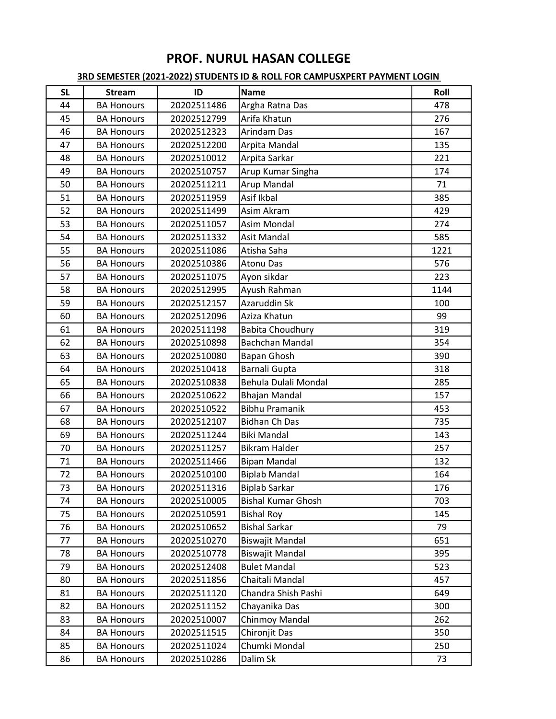| <b>SL</b> | <b>Stream</b>     | ID          | <b>Name</b>               | Roll |
|-----------|-------------------|-------------|---------------------------|------|
| 44        | <b>BA Honours</b> | 20202511486 | Argha Ratna Das           | 478  |
| 45        | <b>BA Honours</b> | 20202512799 | Arifa Khatun              | 276  |
| 46        | <b>BA Honours</b> | 20202512323 | Arindam Das               | 167  |
| 47        | <b>BA Honours</b> | 20202512200 | Arpita Mandal             | 135  |
| 48        | <b>BA Honours</b> | 20202510012 | Arpita Sarkar             | 221  |
| 49        | <b>BA Honours</b> | 20202510757 | Arup Kumar Singha         | 174  |
| 50        | <b>BA Honours</b> | 20202511211 | Arup Mandal               | 71   |
| 51        | <b>BA Honours</b> | 20202511959 | Asif Ikbal                | 385  |
| 52        | <b>BA Honours</b> | 20202511499 | Asim Akram                | 429  |
| 53        | <b>BA Honours</b> | 20202511057 | <b>Asim Mondal</b>        | 274  |
| 54        | <b>BA Honours</b> | 20202511332 | <b>Asit Mandal</b>        | 585  |
| 55        | <b>BA Honours</b> | 20202511086 | Atisha Saha               | 1221 |
| 56        | <b>BA Honours</b> | 20202510386 | <b>Atonu Das</b>          | 576  |
| 57        | <b>BA Honours</b> | 20202511075 | Ayon sikdar               | 223  |
| 58        | <b>BA Honours</b> | 20202512995 | Ayush Rahman              | 1144 |
| 59        | <b>BA Honours</b> | 20202512157 | Azaruddin Sk              | 100  |
| 60        | <b>BA Honours</b> | 20202512096 | Aziza Khatun              | 99   |
| 61        | <b>BA Honours</b> | 20202511198 | <b>Babita Choudhury</b>   | 319  |
| 62        | <b>BA Honours</b> | 20202510898 | <b>Bachchan Mandal</b>    | 354  |
| 63        | <b>BA Honours</b> | 20202510080 | Bapan Ghosh               | 390  |
| 64        | <b>BA Honours</b> | 20202510418 | Barnali Gupta             | 318  |
| 65        | <b>BA Honours</b> | 20202510838 | Behula Dulali Mondal      | 285  |
| 66        | <b>BA Honours</b> | 20202510622 | <b>Bhajan Mandal</b>      | 157  |
| 67        | <b>BA Honours</b> | 20202510522 | <b>Bibhu Pramanik</b>     | 453  |
| 68        | <b>BA Honours</b> | 20202512107 | <b>Bidhan Ch Das</b>      | 735  |
| 69        | <b>BA Honours</b> | 20202511244 | <b>Biki Mandal</b>        | 143  |
| 70        | <b>BA Honours</b> | 20202511257 | <b>Bikram Halder</b>      | 257  |
| 71        | <b>BA Honours</b> | 20202511466 | <b>Bipan Mandal</b>       | 132  |
| 72        | <b>BA Honours</b> | 20202510100 | <b>Biplab Mandal</b>      | 164  |
| 73        | <b>BA Honours</b> | 20202511316 | <b>Biplab Sarkar</b>      | 176  |
| 74        | <b>BA Honours</b> | 20202510005 | <b>Bishal Kumar Ghosh</b> | 703  |
| 75        | <b>BA Honours</b> | 20202510591 | <b>Bishal Roy</b>         | 145  |
| 76        | <b>BA Honours</b> | 20202510652 | <b>Bishal Sarkar</b>      | 79   |
| 77        | <b>BA Honours</b> | 20202510270 | <b>Biswajit Mandal</b>    | 651  |
| 78        | <b>BA Honours</b> | 20202510778 | <b>Biswajit Mandal</b>    | 395  |
| 79        | <b>BA Honours</b> | 20202512408 | <b>Bulet Mandal</b>       | 523  |
| 80        | <b>BA Honours</b> | 20202511856 | Chaitali Mandal           | 457  |
| 81        | <b>BA Honours</b> | 20202511120 | Chandra Shish Pashi       | 649  |
| 82        | <b>BA Honours</b> | 20202511152 | Chayanika Das             | 300  |
| 83        | <b>BA Honours</b> | 20202510007 | Chinmoy Mandal            | 262  |
| 84        | <b>BA Honours</b> | 20202511515 | Chironjit Das             | 350  |
| 85        | <b>BA Honours</b> | 20202511024 | Chumki Mondal             | 250  |
| 86        | <b>BA Honours</b> | 20202510286 | Dalim Sk                  | 73   |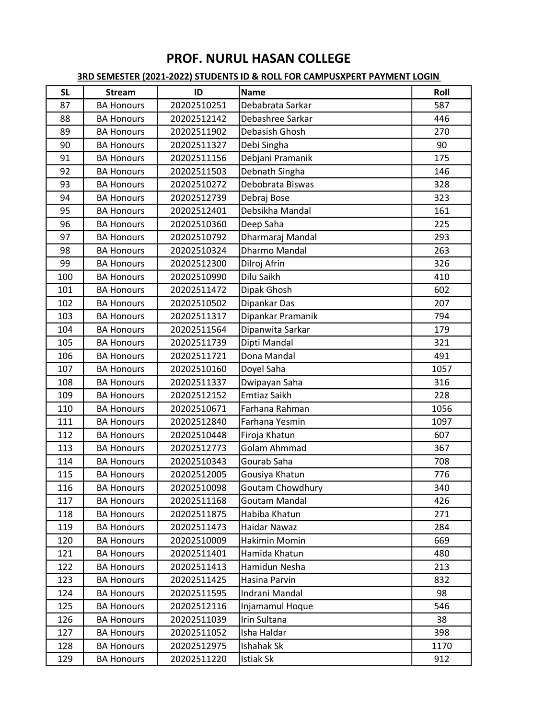| <b>SL</b> | <b>Stream</b>     | ID          | <b>Name</b>          | Roll |
|-----------|-------------------|-------------|----------------------|------|
| 87        | <b>BA Honours</b> | 20202510251 | Debabrata Sarkar     | 587  |
| 88        | <b>BA Honours</b> | 20202512142 | Debashree Sarkar     | 446  |
| 89        | <b>BA Honours</b> | 20202511902 | Debasish Ghosh       | 270  |
| 90        | <b>BA Honours</b> | 20202511327 | Debi Singha          | 90   |
| 91        | <b>BA Honours</b> | 20202511156 | Debjani Pramanik     | 175  |
| 92        | <b>BA Honours</b> | 20202511503 | Debnath Singha       | 146  |
| 93        | <b>BA Honours</b> | 20202510272 | Debobrata Biswas     | 328  |
| 94        | <b>BA Honours</b> | 20202512739 | Debraj Bose          | 323  |
| 95        | <b>BA Honours</b> | 20202512401 | Debsikha Mandal      | 161  |
| 96        | <b>BA Honours</b> | 20202510360 | Deep Saha            | 225  |
| 97        | <b>BA Honours</b> | 20202510792 | Dharmaraj Mandal     | 293  |
| 98        | <b>BA Honours</b> | 20202510324 | <b>Dharmo Mandal</b> | 263  |
| 99        | <b>BA Honours</b> | 20202512300 | Dilroj Afrin         | 326  |
| 100       | <b>BA Honours</b> | 20202510990 | Dilu Saikh           | 410  |
| 101       | <b>BA Honours</b> | 20202511472 | Dipak Ghosh          | 602  |
| 102       | <b>BA Honours</b> | 20202510502 | Dipankar Das         | 207  |
| 103       | <b>BA Honours</b> | 20202511317 | Dipankar Pramanik    | 794  |
| 104       | <b>BA Honours</b> | 20202511564 | Dipanwita Sarkar     | 179  |
| 105       | <b>BA Honours</b> | 20202511739 | Dipti Mandal         | 321  |
| 106       | <b>BA Honours</b> | 20202511721 | Dona Mandal          | 491  |
| 107       | <b>BA Honours</b> | 20202510160 | Doyel Saha           | 1057 |
| 108       | <b>BA Honours</b> | 20202511337 | Dwipayan Saha        | 316  |
| 109       | <b>BA Honours</b> | 20202512152 | <b>Emtiaz Saikh</b>  | 228  |
| 110       | <b>BA Honours</b> | 20202510671 | Farhana Rahman       | 1056 |
| 111       | <b>BA Honours</b> | 20202512840 | Farhana Yesmin       | 1097 |
| 112       | <b>BA Honours</b> | 20202510448 | Firoja Khatun        | 607  |
| 113       | <b>BA Honours</b> | 20202512773 | <b>Golam Ahmmad</b>  | 367  |
| 114       | <b>BA Honours</b> | 20202510343 | Gourab Saha          | 708  |
| 115       | <b>BA Honours</b> | 20202512005 | Gousiya Khatun       | 776  |
| 116       | <b>BA Honours</b> | 20202510098 | Goutam Chowdhury     | 340  |
| 117       | <b>BA Honours</b> | 20202511168 | Goutam Mandal        | 426  |
| 118       | <b>BA Honours</b> | 20202511875 | Habiba Khatun        | 271  |
| 119       | <b>BA Honours</b> | 20202511473 | Haidar Nawaz         | 284  |
| 120       | <b>BA Honours</b> | 20202510009 | Hakimin Momin        | 669  |
| 121       | <b>BA Honours</b> | 20202511401 | Hamida Khatun        | 480  |
| 122       | <b>BA Honours</b> | 20202511413 | Hamidun Nesha        | 213  |
| 123       | <b>BA Honours</b> | 20202511425 | Hasina Parvin        | 832  |
| 124       | <b>BA Honours</b> | 20202511595 | Indrani Mandal       | 98   |
| 125       | <b>BA Honours</b> | 20202512116 | Injamamul Hoque      | 546  |
| 126       | <b>BA Honours</b> | 20202511039 | Irin Sultana         | 38   |
| 127       | <b>BA Honours</b> | 20202511052 | Isha Haldar          | 398  |
| 128       | <b>BA Honours</b> | 20202512975 | Ishahak Sk           | 1170 |
| 129       | <b>BA Honours</b> | 20202511220 | Istiak Sk            | 912  |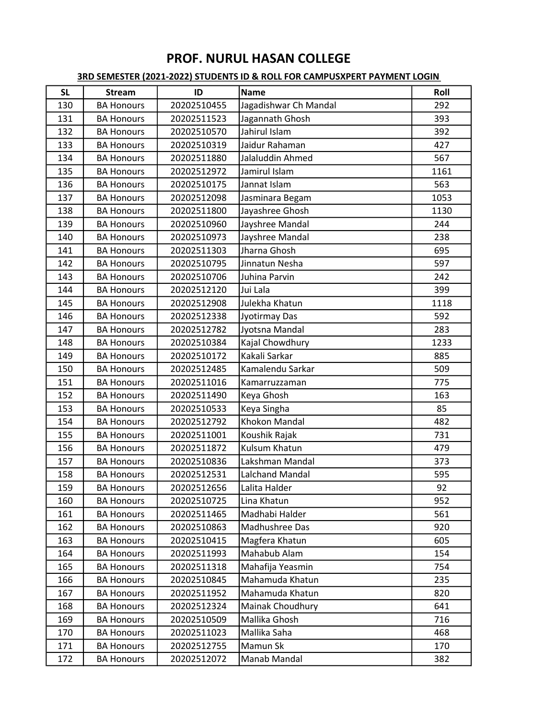| <b>SL</b> | <b>Stream</b>     | ID          | <b>Name</b>            | Roll |
|-----------|-------------------|-------------|------------------------|------|
| 130       | <b>BA Honours</b> | 20202510455 | Jagadishwar Ch Mandal  | 292  |
| 131       | <b>BA Honours</b> | 20202511523 | Jagannath Ghosh        | 393  |
| 132       | <b>BA Honours</b> | 20202510570 | Jahirul Islam          | 392  |
| 133       | <b>BA Honours</b> | 20202510319 | Jaidur Rahaman         | 427  |
| 134       | <b>BA Honours</b> | 20202511880 | Jalaluddin Ahmed       | 567  |
| 135       | <b>BA Honours</b> | 20202512972 | Jamirul Islam          | 1161 |
| 136       | <b>BA Honours</b> | 20202510175 | Jannat Islam           | 563  |
| 137       | <b>BA Honours</b> | 20202512098 | Jasminara Begam        | 1053 |
| 138       | <b>BA Honours</b> | 20202511800 | Jayashree Ghosh        | 1130 |
| 139       | <b>BA Honours</b> | 20202510960 | Jayshree Mandal        | 244  |
| 140       | <b>BA Honours</b> | 20202510973 | Jayshree Mandal        | 238  |
| 141       | <b>BA Honours</b> | 20202511303 | Jharna Ghosh           | 695  |
| 142       | <b>BA Honours</b> | 20202510795 | Jinnatun Nesha         | 597  |
| 143       | <b>BA Honours</b> | 20202510706 | Juhina Parvin          | 242  |
| 144       | <b>BA Honours</b> | 20202512120 | Jui Lala               | 399  |
| 145       | <b>BA Honours</b> | 20202512908 | Julekha Khatun         | 1118 |
| 146       | <b>BA Honours</b> | 20202512338 | Jyotirmay Das          | 592  |
| 147       | <b>BA Honours</b> | 20202512782 | Jyotsna Mandal         | 283  |
| 148       | <b>BA Honours</b> | 20202510384 | Kajal Chowdhury        | 1233 |
| 149       | <b>BA Honours</b> | 20202510172 | Kakali Sarkar          | 885  |
| 150       | <b>BA Honours</b> | 20202512485 | Kamalendu Sarkar       | 509  |
| 151       | <b>BA Honours</b> | 20202511016 | Kamarruzzaman          | 775  |
| 152       | <b>BA Honours</b> | 20202511490 | Keya Ghosh             | 163  |
| 153       | <b>BA Honours</b> | 20202510533 | Keya Singha            | 85   |
| 154       | <b>BA Honours</b> | 20202512792 | Khokon Mandal          | 482  |
| 155       | <b>BA Honours</b> | 20202511001 | Koushik Rajak          | 731  |
| 156       | <b>BA Honours</b> | 20202511872 | Kulsum Khatun          | 479  |
| 157       | <b>BA Honours</b> | 20202510836 | Lakshman Mandal        | 373  |
| 158       | <b>BA Honours</b> | 20202512531 | <b>Lalchand Mandal</b> | 595  |
| 159       | <b>BA Honours</b> | 20202512656 | Lalita Halder          | 92   |
| 160       | <b>BA Honours</b> | 20202510725 | Lina Khatun            | 952  |
| 161       | <b>BA Honours</b> | 20202511465 | Madhabi Halder         | 561  |
| 162       | <b>BA Honours</b> | 20202510863 | Madhushree Das         | 920  |
| 163       | <b>BA Honours</b> | 20202510415 | Magfera Khatun         | 605  |
| 164       | <b>BA Honours</b> | 20202511993 | Mahabub Alam           | 154  |
| 165       | <b>BA Honours</b> | 20202511318 | Mahafija Yeasmin       | 754  |
| 166       | <b>BA Honours</b> | 20202510845 | Mahamuda Khatun        | 235  |
| 167       | <b>BA Honours</b> | 20202511952 | Mahamuda Khatun        | 820  |
| 168       | <b>BA Honours</b> | 20202512324 | Mainak Choudhury       | 641  |
| 169       | <b>BA Honours</b> | 20202510509 | Mallika Ghosh          | 716  |
| 170       | <b>BA Honours</b> | 20202511023 | Mallika Saha           | 468  |
| 171       | <b>BA Honours</b> | 20202512755 | Mamun Sk               | 170  |
| 172       | <b>BA Honours</b> | 20202512072 | Manab Mandal           | 382  |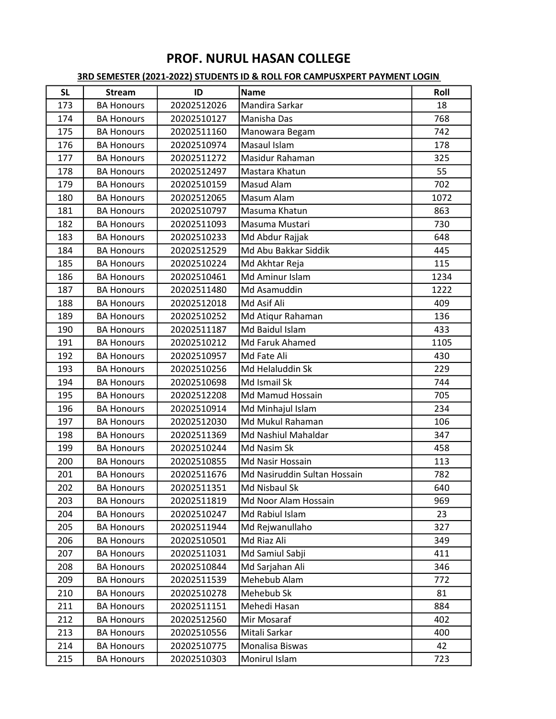| <b>SL</b> | <b>Stream</b>     | ID          | <b>Name</b>                  | Roll |
|-----------|-------------------|-------------|------------------------------|------|
| 173       | <b>BA Honours</b> | 20202512026 | Mandira Sarkar               | 18   |
| 174       | <b>BA Honours</b> | 20202510127 | Manisha Das                  | 768  |
| 175       | <b>BA Honours</b> | 20202511160 | Manowara Begam               | 742  |
| 176       | <b>BA Honours</b> | 20202510974 | Masaul Islam                 | 178  |
| 177       | <b>BA Honours</b> | 20202511272 | Masidur Rahaman              | 325  |
| 178       | <b>BA Honours</b> | 20202512497 | Mastara Khatun               | 55   |
| 179       | <b>BA Honours</b> | 20202510159 | Masud Alam                   | 702  |
| 180       | <b>BA Honours</b> | 20202512065 | Masum Alam                   | 1072 |
| 181       | <b>BA Honours</b> | 20202510797 | Masuma Khatun                | 863  |
| 182       | <b>BA Honours</b> | 20202511093 | Masuma Mustari               | 730  |
| 183       | <b>BA Honours</b> | 20202510233 | Md Abdur Rajjak              | 648  |
| 184       | <b>BA Honours</b> | 20202512529 | Md Abu Bakkar Siddik         | 445  |
| 185       | <b>BA Honours</b> | 20202510224 | Md Akhtar Reja               | 115  |
| 186       | <b>BA Honours</b> | 20202510461 | Md Aminur Islam              | 1234 |
| 187       | <b>BA Honours</b> | 20202511480 | Md Asamuddin                 | 1222 |
| 188       | <b>BA Honours</b> | 20202512018 | Md Asif Ali                  | 409  |
| 189       | <b>BA Honours</b> | 20202510252 | Md Atiqur Rahaman            | 136  |
| 190       | <b>BA Honours</b> | 20202511187 | Md Baidul Islam              | 433  |
| 191       | <b>BA Honours</b> | 20202510212 | Md Faruk Ahamed              | 1105 |
| 192       | <b>BA Honours</b> | 20202510957 | Md Fate Ali                  | 430  |
| 193       | <b>BA Honours</b> | 20202510256 | Md Helaluddin Sk             | 229  |
| 194       | <b>BA Honours</b> | 20202510698 | Md Ismail Sk                 | 744  |
| 195       | <b>BA Honours</b> | 20202512208 | Md Mamud Hossain             | 705  |
| 196       | <b>BA Honours</b> | 20202510914 | Md Minhajul Islam            | 234  |
| 197       | <b>BA Honours</b> | 20202512030 | Md Mukul Rahaman             | 106  |
| 198       | <b>BA Honours</b> | 20202511369 | Md Nashiul Mahaldar          | 347  |
| 199       | <b>BA Honours</b> | 20202510244 | Md Nasim Sk                  | 458  |
| 200       | <b>BA Honours</b> | 20202510855 | Md Nasir Hossain             | 113  |
| 201       | <b>BA Honours</b> | 20202511676 | Md Nasiruddin Sultan Hossain | 782  |
| 202       | <b>BA Honours</b> | 20202511351 | Md Nisbaul Sk                | 640  |
| 203       | <b>BA Honours</b> | 20202511819 | Md Noor Alam Hossain         | 969  |
| 204       | <b>BA Honours</b> | 20202510247 | Md Rabiul Islam              | 23   |
| 205       | <b>BA Honours</b> | 20202511944 | Md Rejwanullaho              | 327  |
| 206       | <b>BA Honours</b> | 20202510501 | Md Riaz Ali                  | 349  |
| 207       | <b>BA Honours</b> | 20202511031 | Md Samiul Sabji              | 411  |
| 208       | <b>BA Honours</b> | 20202510844 | Md Sarjahan Ali              | 346  |
| 209       | <b>BA Honours</b> | 20202511539 | Mehebub Alam                 | 772  |
| 210       | <b>BA Honours</b> | 20202510278 | Mehebub Sk                   | 81   |
| 211       | <b>BA Honours</b> | 20202511151 | Mehedi Hasan                 | 884  |
| 212       | <b>BA Honours</b> | 20202512560 | Mir Mosaraf                  | 402  |
| 213       | <b>BA Honours</b> | 20202510556 | Mitali Sarkar                | 400  |
| 214       | <b>BA Honours</b> | 20202510775 | Monalisa Biswas              | 42   |
| 215       | <b>BA Honours</b> | 20202510303 | Monirul Islam                | 723  |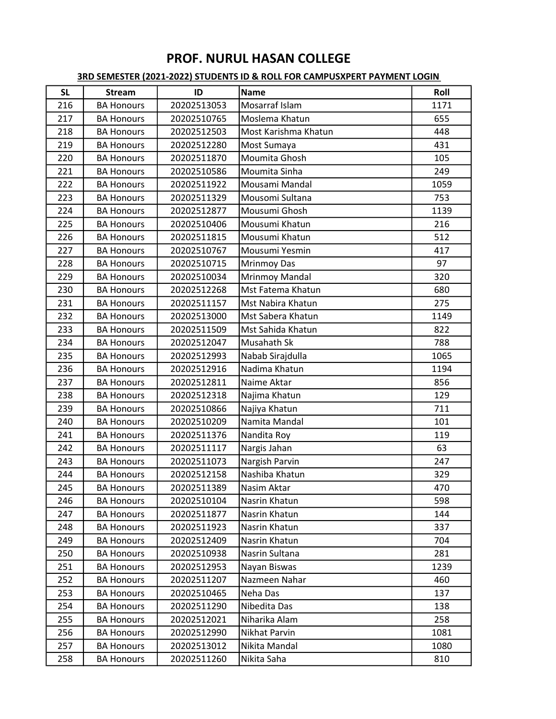| <b>SL</b> | <b>Stream</b>     | ID          | <b>Name</b>          | Roll |
|-----------|-------------------|-------------|----------------------|------|
| 216       | <b>BA Honours</b> | 20202513053 | Mosarraf Islam       | 1171 |
| 217       | <b>BA Honours</b> | 20202510765 | Moslema Khatun       | 655  |
| 218       | <b>BA Honours</b> | 20202512503 | Most Karishma Khatun | 448  |
| 219       | <b>BA Honours</b> | 20202512280 | Most Sumaya          | 431  |
| 220       | <b>BA Honours</b> | 20202511870 | Moumita Ghosh        | 105  |
| 221       | <b>BA Honours</b> | 20202510586 | Moumita Sinha        | 249  |
| 222       | <b>BA Honours</b> | 20202511922 | Mousami Mandal       | 1059 |
| 223       | <b>BA Honours</b> | 20202511329 | Mousomi Sultana      | 753  |
| 224       | <b>BA Honours</b> | 20202512877 | Mousumi Ghosh        | 1139 |
| 225       | <b>BA Honours</b> | 20202510406 | Mousumi Khatun       | 216  |
| 226       | <b>BA Honours</b> | 20202511815 | Mousumi Khatun       | 512  |
| 227       | <b>BA Honours</b> | 20202510767 | Mousumi Yesmin       | 417  |
| 228       | <b>BA Honours</b> | 20202510715 | <b>Mrinmoy Das</b>   | 97   |
| 229       | <b>BA Honours</b> | 20202510034 | Mrinmoy Mandal       | 320  |
| 230       | <b>BA Honours</b> | 20202512268 | Mst Fatema Khatun    | 680  |
| 231       | <b>BA Honours</b> | 20202511157 | Mst Nabira Khatun    | 275  |
| 232       | <b>BA Honours</b> | 20202513000 | Mst Sabera Khatun    | 1149 |
| 233       | <b>BA Honours</b> | 20202511509 | Mst Sahida Khatun    | 822  |
| 234       | <b>BA Honours</b> | 20202512047 | Musahath Sk          | 788  |
| 235       | <b>BA Honours</b> | 20202512993 | Nabab Sirajdulla     | 1065 |
| 236       | <b>BA Honours</b> | 20202512916 | Nadima Khatun        | 1194 |
| 237       | <b>BA Honours</b> | 20202512811 | Naime Aktar          | 856  |
| 238       | <b>BA Honours</b> | 20202512318 | Najima Khatun        | 129  |
| 239       | <b>BA Honours</b> | 20202510866 | Najiya Khatun        | 711  |
| 240       | <b>BA Honours</b> | 20202510209 | Namita Mandal        | 101  |
| 241       | <b>BA Honours</b> | 20202511376 | Nandita Roy          | 119  |
| 242       | <b>BA Honours</b> | 20202511117 | Nargis Jahan         | 63   |
| 243       | <b>BA Honours</b> | 20202511073 | Nargish Parvin       | 247  |
| 244       | <b>BA Honours</b> | 20202512158 | Nashiba Khatun       | 329  |
| 245       | <b>BA Honours</b> | 20202511389 | Nasim Aktar          | 470  |
| 246       | <b>BA Honours</b> | 20202510104 | Nasrin Khatun        | 598  |
| 247       | <b>BA Honours</b> | 20202511877 | Nasrin Khatun        | 144  |
| 248       | <b>BA Honours</b> | 20202511923 | Nasrin Khatun        | 337  |
| 249       | <b>BA Honours</b> | 20202512409 | Nasrin Khatun        | 704  |
| 250       | <b>BA Honours</b> | 20202510938 | Nasrin Sultana       | 281  |
| 251       | <b>BA Honours</b> | 20202512953 | Nayan Biswas         | 1239 |
| 252       | <b>BA Honours</b> | 20202511207 | Nazmeen Nahar        | 460  |
| 253       | <b>BA Honours</b> | 20202510465 | Neha Das             | 137  |
| 254       | <b>BA Honours</b> | 20202511290 | Nibedita Das         | 138  |
| 255       | <b>BA Honours</b> | 20202512021 | Niharika Alam        | 258  |
| 256       | <b>BA Honours</b> | 20202512990 | Nikhat Parvin        | 1081 |
| 257       | <b>BA Honours</b> | 20202513012 | Nikita Mandal        | 1080 |
| 258       | <b>BA Honours</b> | 20202511260 | Nikita Saha          | 810  |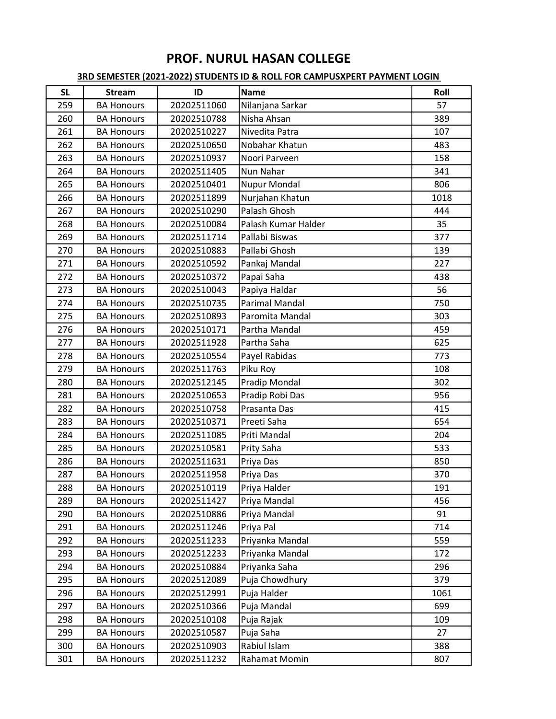| <b>SL</b> | <b>Stream</b>     | ID          | <b>Name</b>           | Roll |
|-----------|-------------------|-------------|-----------------------|------|
| 259       | <b>BA Honours</b> | 20202511060 | Nilanjana Sarkar      | 57   |
| 260       | <b>BA Honours</b> | 20202510788 | Nisha Ahsan           | 389  |
| 261       | <b>BA Honours</b> | 20202510227 | Nivedita Patra        | 107  |
| 262       | <b>BA Honours</b> | 20202510650 | Nobahar Khatun        | 483  |
| 263       | <b>BA Honours</b> | 20202510937 | Noori Parveen         | 158  |
| 264       | <b>BA Honours</b> | 20202511405 | Nun Nahar             | 341  |
| 265       | <b>BA Honours</b> | 20202510401 | <b>Nupur Mondal</b>   | 806  |
| 266       | <b>BA Honours</b> | 20202511899 | Nurjahan Khatun       | 1018 |
| 267       | <b>BA Honours</b> | 20202510290 | Palash Ghosh          | 444  |
| 268       | <b>BA Honours</b> | 20202510084 | Palash Kumar Halder   | 35   |
| 269       | <b>BA Honours</b> | 20202511714 | Pallabi Biswas        | 377  |
| 270       | <b>BA Honours</b> | 20202510883 | Pallabi Ghosh         | 139  |
| 271       | <b>BA Honours</b> | 20202510592 | Pankaj Mandal         | 227  |
| 272       | <b>BA Honours</b> | 20202510372 | Papai Saha            | 438  |
| 273       | <b>BA Honours</b> | 20202510043 | Papiya Haldar         | 56   |
| 274       | <b>BA Honours</b> | 20202510735 | <b>Parimal Mandal</b> | 750  |
| 275       | <b>BA Honours</b> | 20202510893 | Paromita Mandal       | 303  |
| 276       | <b>BA Honours</b> | 20202510171 | Partha Mandal         | 459  |
| 277       | <b>BA Honours</b> | 20202511928 | Partha Saha           | 625  |
| 278       | <b>BA Honours</b> | 20202510554 | Payel Rabidas         | 773  |
| 279       | <b>BA Honours</b> | 20202511763 | Piku Roy              | 108  |
| 280       | <b>BA Honours</b> | 20202512145 | Pradip Mondal         | 302  |
| 281       | <b>BA Honours</b> | 20202510653 | Pradip Robi Das       | 956  |
| 282       | <b>BA Honours</b> | 20202510758 | Prasanta Das          | 415  |
| 283       | <b>BA Honours</b> | 20202510371 | Preeti Saha           | 654  |
| 284       | <b>BA Honours</b> | 20202511085 | Priti Mandal          | 204  |
| 285       | <b>BA Honours</b> | 20202510581 | Prity Saha            | 533  |
| 286       | <b>BA Honours</b> | 20202511631 | Priya Das             | 850  |
| 287       | <b>BA Honours</b> | 20202511958 | Priya Das             | 370  |
| 288       | <b>BA Honours</b> | 20202510119 | Priya Halder          | 191  |
| 289       | <b>BA Honours</b> | 20202511427 | Priya Mandal          | 456  |
| 290       | <b>BA Honours</b> | 20202510886 | Priya Mandal          | 91   |
| 291       | <b>BA Honours</b> | 20202511246 | Priya Pal             | 714  |
| 292       | <b>BA Honours</b> | 20202511233 | Priyanka Mandal       | 559  |
| 293       | <b>BA Honours</b> | 20202512233 | Priyanka Mandal       | 172  |
| 294       | <b>BA Honours</b> | 20202510884 | Priyanka Saha         | 296  |
| 295       | <b>BA Honours</b> | 20202512089 | Puja Chowdhury        | 379  |
| 296       | <b>BA Honours</b> | 20202512991 | Puja Halder           | 1061 |
| 297       | <b>BA Honours</b> | 20202510366 | Puja Mandal           | 699  |
| 298       | <b>BA Honours</b> | 20202510108 | Puja Rajak            | 109  |
| 299       | <b>BA Honours</b> | 20202510587 | Puja Saha             | 27   |
| 300       | <b>BA Honours</b> | 20202510903 | Rabiul Islam          | 388  |
| 301       | <b>BA Honours</b> | 20202511232 | Rahamat Momin         | 807  |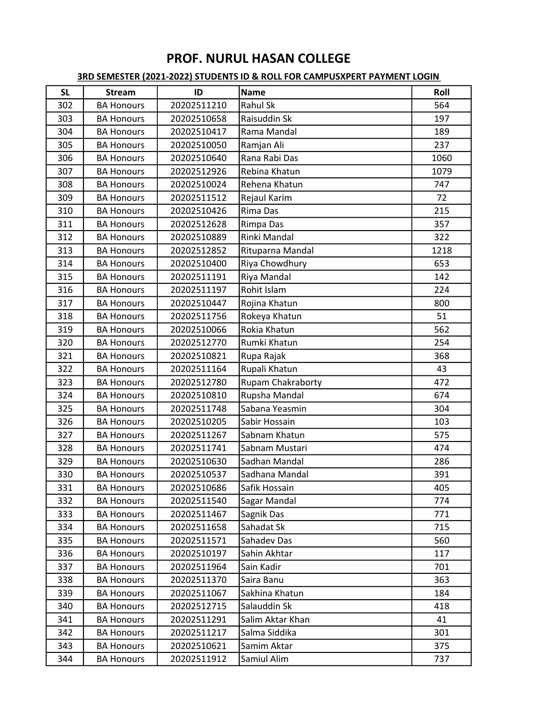| <b>SL</b> | <b>Stream</b>     | ID          | <b>Name</b>              | Roll |
|-----------|-------------------|-------------|--------------------------|------|
| 302       | <b>BA Honours</b> | 20202511210 | Rahul Sk                 | 564  |
| 303       | <b>BA Honours</b> | 20202510658 | Raisuddin Sk             | 197  |
| 304       | <b>BA Honours</b> | 20202510417 | Rama Mandal              | 189  |
| 305       | <b>BA Honours</b> | 20202510050 | Ramjan Ali               | 237  |
| 306       | <b>BA Honours</b> | 20202510640 | Rana Rabi Das            | 1060 |
| 307       | <b>BA Honours</b> | 20202512926 | Rebina Khatun            | 1079 |
| 308       | <b>BA Honours</b> | 20202510024 | Rehena Khatun            | 747  |
| 309       | <b>BA Honours</b> | 20202511512 | Rejaul Karim             | 72   |
| 310       | <b>BA Honours</b> | 20202510426 | Rima Das                 | 215  |
| 311       | <b>BA Honours</b> | 20202512628 | Rimpa Das                | 357  |
| 312       | <b>BA Honours</b> | 20202510889 | Rinki Mandal             | 322  |
| 313       | <b>BA Honours</b> | 20202512852 | Rituparna Mandal         | 1218 |
| 314       | <b>BA Honours</b> | 20202510400 | Riya Chowdhury           | 653  |
| 315       | <b>BA Honours</b> | 20202511191 | Riya Mandal              | 142  |
| 316       | <b>BA Honours</b> | 20202511197 | Rohit Islam              | 224  |
| 317       | <b>BA Honours</b> | 20202510447 | Rojina Khatun            | 800  |
| 318       | <b>BA Honours</b> | 20202511756 | Rokeya Khatun            | 51   |
| 319       | <b>BA Honours</b> | 20202510066 | Rokia Khatun             | 562  |
| 320       | <b>BA Honours</b> | 20202512770 | Rumki Khatun             | 254  |
| 321       | <b>BA Honours</b> | 20202510821 | Rupa Rajak               | 368  |
| 322       | <b>BA Honours</b> | 20202511164 | Rupali Khatun            | 43   |
| 323       | <b>BA Honours</b> | 20202512780 | <b>Rupam Chakraborty</b> | 472  |
| 324       | <b>BA Honours</b> | 20202510810 | Rupsha Mandal            | 674  |
| 325       | <b>BA Honours</b> | 20202511748 | Sabana Yeasmin           | 304  |
| 326       | <b>BA Honours</b> | 20202510205 | Sabir Hossain            | 103  |
| 327       | <b>BA Honours</b> | 20202511267 | Sabnam Khatun            | 575  |
| 328       | <b>BA Honours</b> | 20202511741 | Sabnam Mustari           | 474  |
| 329       | <b>BA Honours</b> | 20202510630 | Sadhan Mandal            | 286  |
| 330       | <b>BA Honours</b> | 20202510537 | Sadhana Mandal           | 391  |
| 331       | <b>BA Honours</b> | 20202510686 | Safik Hossain            | 405  |
| 332       | <b>BA Honours</b> | 20202511540 | Sagar Mandal             | 774  |
| 333       | <b>BA Honours</b> | 20202511467 | Sagnik Das               | 771  |
| 334       | <b>BA Honours</b> | 20202511658 | Sahadat Sk               | 715  |
| 335       | <b>BA Honours</b> | 20202511571 | Sahadev Das              | 560  |
| 336       | <b>BA Honours</b> | 20202510197 | Sahin Akhtar             | 117  |
| 337       | <b>BA Honours</b> | 20202511964 | Sain Kadir               | 701  |
| 338       | <b>BA Honours</b> | 20202511370 | Saira Banu               | 363  |
| 339       | <b>BA Honours</b> | 20202511067 | Sakhina Khatun           | 184  |
| 340       | <b>BA Honours</b> | 20202512715 | Salauddin Sk             | 418  |
| 341       | <b>BA Honours</b> | 20202511291 | Salim Aktar Khan         | 41   |
| 342       | <b>BA Honours</b> | 20202511217 | Salma Siddika            | 301  |
| 343       | <b>BA Honours</b> | 20202510621 | Samim Aktar              | 375  |
| 344       | <b>BA Honours</b> | 20202511912 | Samiul Alim              | 737  |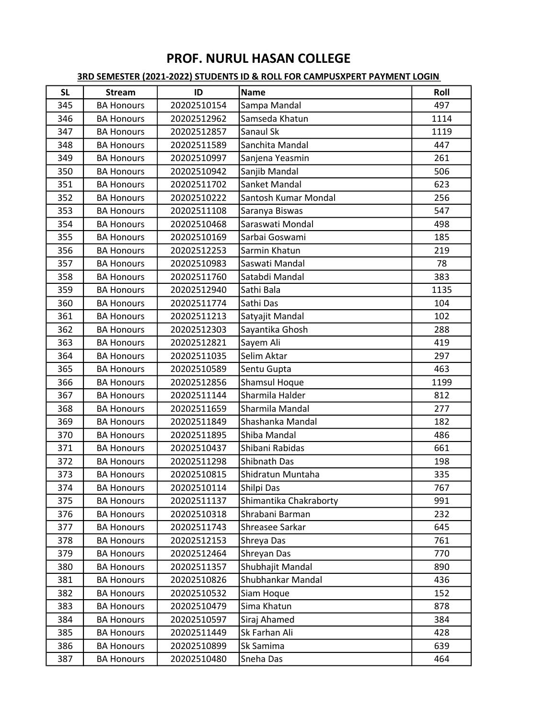| <b>SL</b> | <b>Stream</b>     | ID          | <b>Name</b>            | Roll |
|-----------|-------------------|-------------|------------------------|------|
| 345       | <b>BA Honours</b> | 20202510154 | Sampa Mandal           | 497  |
| 346       | <b>BA Honours</b> | 20202512962 | Samseda Khatun         | 1114 |
| 347       | <b>BA Honours</b> | 20202512857 | Sanaul Sk              | 1119 |
| 348       | <b>BA Honours</b> | 20202511589 | Sanchita Mandal        | 447  |
| 349       | <b>BA Honours</b> | 20202510997 | Sanjena Yeasmin        | 261  |
| 350       | <b>BA Honours</b> | 20202510942 | Sanjib Mandal          | 506  |
| 351       | <b>BA Honours</b> | 20202511702 | Sanket Mandal          | 623  |
| 352       | <b>BA Honours</b> | 20202510222 | Santosh Kumar Mondal   | 256  |
| 353       | <b>BA Honours</b> | 20202511108 | Saranya Biswas         | 547  |
| 354       | <b>BA Honours</b> | 20202510468 | Saraswati Mondal       | 498  |
| 355       | <b>BA Honours</b> | 20202510169 | Sarbai Goswami         | 185  |
| 356       | <b>BA Honours</b> | 20202512253 | Sarmin Khatun          | 219  |
| 357       | <b>BA Honours</b> | 20202510983 | Saswati Mandal         | 78   |
| 358       | <b>BA Honours</b> | 20202511760 | Satabdi Mandal         | 383  |
| 359       | <b>BA Honours</b> | 20202512940 | Sathi Bala             | 1135 |
| 360       | <b>BA Honours</b> | 20202511774 | Sathi Das              | 104  |
| 361       | <b>BA Honours</b> | 20202511213 | Satyajit Mandal        | 102  |
| 362       | <b>BA Honours</b> | 20202512303 | Sayantika Ghosh        | 288  |
| 363       | <b>BA Honours</b> | 20202512821 | Sayem Ali              | 419  |
| 364       | <b>BA Honours</b> | 20202511035 | Selim Aktar            | 297  |
| 365       | <b>BA Honours</b> | 20202510589 | Sentu Gupta            | 463  |
| 366       | <b>BA Honours</b> | 20202512856 | Shamsul Hoque          | 1199 |
| 367       | <b>BA Honours</b> | 20202511144 | Sharmila Halder        | 812  |
| 368       | <b>BA Honours</b> | 20202511659 | Sharmila Mandal        | 277  |
| 369       | <b>BA Honours</b> | 20202511849 | Shashanka Mandal       | 182  |
| 370       | <b>BA Honours</b> | 20202511895 | Shiba Mandal           | 486  |
| 371       | <b>BA Honours</b> | 20202510437 | Shibani Rabidas        | 661  |
| 372       | <b>BA Honours</b> | 20202511298 | Shibnath Das           | 198  |
| 373       | <b>BA Honours</b> | 20202510815 | Shidratun Muntaha      | 335  |
| 374       | <b>BA Honours</b> | 20202510114 | Shilpi Das             | 767  |
| 375       | <b>BA Honours</b> | 20202511137 | Shimantika Chakraborty | 991  |
| 376       | <b>BA Honours</b> | 20202510318 | Shrabani Barman        | 232  |
| 377       | <b>BA Honours</b> | 20202511743 | Shreasee Sarkar        | 645  |
| 378       | <b>BA Honours</b> | 20202512153 | Shreya Das             | 761  |
| 379       | <b>BA Honours</b> | 20202512464 | Shreyan Das            | 770  |
| 380       | <b>BA Honours</b> | 20202511357 | Shubhajit Mandal       | 890  |
| 381       | <b>BA Honours</b> | 20202510826 | Shubhankar Mandal      | 436  |
| 382       | <b>BA Honours</b> | 20202510532 | Siam Hoque             | 152  |
| 383       | <b>BA Honours</b> | 20202510479 | Sima Khatun            | 878  |
| 384       | <b>BA Honours</b> | 20202510597 | Siraj Ahamed           | 384  |
| 385       | <b>BA Honours</b> | 20202511449 | Sk Farhan Ali          | 428  |
| 386       | <b>BA Honours</b> | 20202510899 | Sk Samima              | 639  |
| 387       | <b>BA Honours</b> | 20202510480 | Sneha Das              | 464  |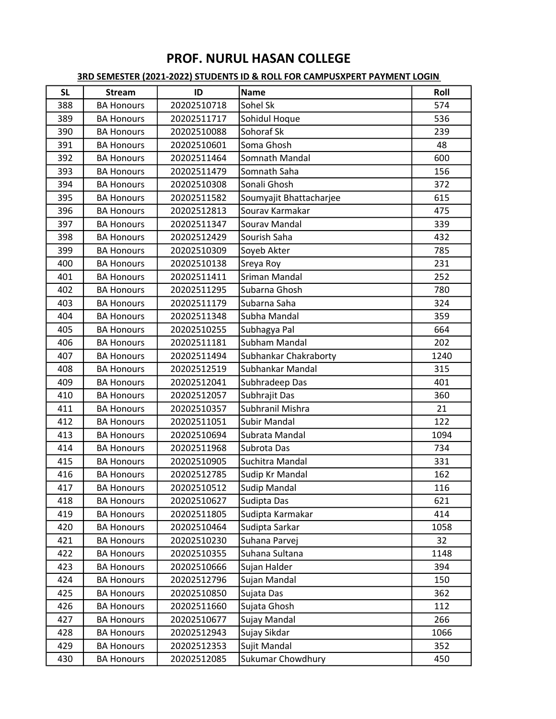| <b>SL</b> | <b>Stream</b>     | ID          | <b>Name</b>             | Roll |
|-----------|-------------------|-------------|-------------------------|------|
| 388       | <b>BA Honours</b> | 20202510718 | Sohel Sk                | 574  |
| 389       | <b>BA Honours</b> | 20202511717 | Sohidul Hoque           | 536  |
| 390       | <b>BA Honours</b> | 20202510088 | Sohoraf Sk              | 239  |
| 391       | <b>BA Honours</b> | 20202510601 | Soma Ghosh              | 48   |
| 392       | <b>BA Honours</b> | 20202511464 | Somnath Mandal          | 600  |
| 393       | <b>BA Honours</b> | 20202511479 | Somnath Saha            | 156  |
| 394       | <b>BA Honours</b> | 20202510308 | Sonali Ghosh            | 372  |
| 395       | <b>BA Honours</b> | 20202511582 | Soumyajit Bhattacharjee | 615  |
| 396       | <b>BA Honours</b> | 20202512813 | Sourav Karmakar         | 475  |
| 397       | <b>BA Honours</b> | 20202511347 | Sourav Mandal           | 339  |
| 398       | <b>BA Honours</b> | 20202512429 | Sourish Saha            | 432  |
| 399       | <b>BA Honours</b> | 20202510309 | Soyeb Akter             | 785  |
| 400       | <b>BA Honours</b> | 20202510138 | Sreya Roy               | 231  |
| 401       | <b>BA Honours</b> | 20202511411 | Sriman Mandal           | 252  |
| 402       | <b>BA Honours</b> | 20202511295 | Subarna Ghosh           | 780  |
| 403       | <b>BA Honours</b> | 20202511179 | Subarna Saha            | 324  |
| 404       | <b>BA Honours</b> | 20202511348 | Subha Mandal            | 359  |
| 405       | <b>BA Honours</b> | 20202510255 | Subhagya Pal            | 664  |
| 406       | <b>BA Honours</b> | 20202511181 | Subham Mandal           | 202  |
| 407       | <b>BA Honours</b> | 20202511494 | Subhankar Chakraborty   | 1240 |
| 408       | <b>BA Honours</b> | 20202512519 | Subhankar Mandal        | 315  |
| 409       | <b>BA Honours</b> | 20202512041 | Subhradeep Das          | 401  |
| 410       | <b>BA Honours</b> | 20202512057 | Subhrajit Das           | 360  |
| 411       | <b>BA Honours</b> | 20202510357 | Subhranil Mishra        | 21   |
| 412       | <b>BA Honours</b> | 20202511051 | <b>Subir Mandal</b>     | 122  |
| 413       | <b>BA Honours</b> | 20202510694 | Subrata Mandal          | 1094 |
| 414       | <b>BA Honours</b> | 20202511968 | Subrota Das             | 734  |
| 415       | <b>BA Honours</b> | 20202510905 | Suchitra Mandal         | 331  |
| 416       | <b>BA Honours</b> | 20202512785 | Sudip Kr Mandal         | 162  |
| 417       | <b>BA Honours</b> | 20202510512 | Sudip Mandal            | 116  |
| 418       | <b>BA Honours</b> | 20202510627 | Sudipta Das             | 621  |
| 419       | <b>BA Honours</b> | 20202511805 | Sudipta Karmakar        | 414  |
| 420       | <b>BA Honours</b> | 20202510464 | Sudipta Sarkar          | 1058 |
| 421       | <b>BA Honours</b> | 20202510230 | Suhana Parvej           | 32   |
| 422       | <b>BA Honours</b> | 20202510355 | Suhana Sultana          | 1148 |
| 423       | <b>BA Honours</b> | 20202510666 | Sujan Halder            | 394  |
| 424       | <b>BA Honours</b> | 20202512796 | Sujan Mandal            | 150  |
| 425       | <b>BA Honours</b> | 20202510850 | Sujata Das              | 362  |
| 426       | <b>BA Honours</b> | 20202511660 | Sujata Ghosh            | 112  |
| 427       | <b>BA Honours</b> | 20202510677 | Sujay Mandal            | 266  |
| 428       | <b>BA Honours</b> | 20202512943 | Sujay Sikdar            | 1066 |
| 429       | <b>BA Honours</b> | 20202512353 | Sujit Mandal            | 352  |
| 430       | <b>BA Honours</b> | 20202512085 | Sukumar Chowdhury       | 450  |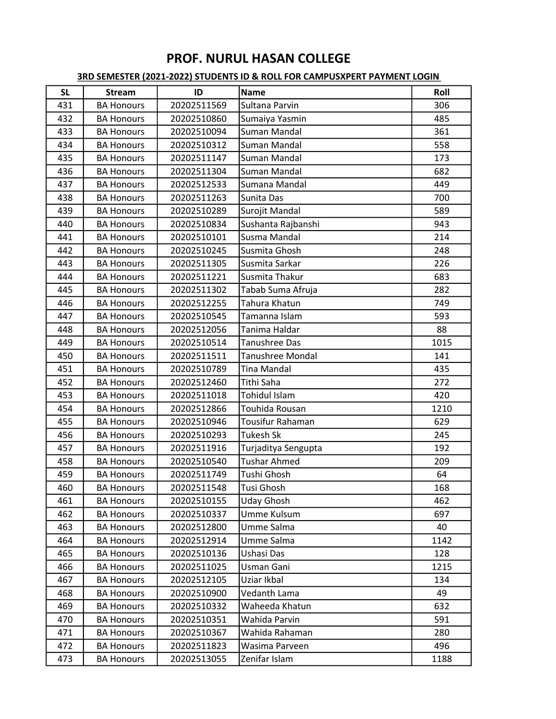| <b>SL</b> | <b>Stream</b>     | ID          | <b>Name</b>         | Roll |
|-----------|-------------------|-------------|---------------------|------|
| 431       | <b>BA Honours</b> | 20202511569 | Sultana Parvin      | 306  |
| 432       | <b>BA Honours</b> | 20202510860 | Sumaiya Yasmin      | 485  |
| 433       | <b>BA Honours</b> | 20202510094 | Suman Mandal        | 361  |
| 434       | <b>BA Honours</b> | 20202510312 | Suman Mandal        | 558  |
| 435       | <b>BA Honours</b> | 20202511147 | Suman Mandal        | 173  |
| 436       | <b>BA Honours</b> | 20202511304 | Suman Mandal        | 682  |
| 437       | <b>BA Honours</b> | 20202512533 | Sumana Mandal       | 449  |
| 438       | <b>BA Honours</b> | 20202511263 | Sunita Das          | 700  |
| 439       | <b>BA Honours</b> | 20202510289 | Surojit Mandal      | 589  |
| 440       | <b>BA Honours</b> | 20202510834 | Sushanta Rajbanshi  | 943  |
| 441       | <b>BA Honours</b> | 20202510101 | Susma Mandal        | 214  |
| 442       | <b>BA Honours</b> | 20202510245 | Susmita Ghosh       | 248  |
| 443       | <b>BA Honours</b> | 20202511305 | Susmita Sarkar      | 226  |
| 444       | <b>BA Honours</b> | 20202511221 | Susmita Thakur      | 683  |
| 445       | <b>BA Honours</b> | 20202511302 | Tabab Suma Afruja   | 282  |
| 446       | <b>BA Honours</b> | 20202512255 | Tahura Khatun       | 749  |
| 447       | <b>BA Honours</b> | 20202510545 | Tamanna Islam       | 593  |
| 448       | <b>BA Honours</b> | 20202512056 | Tanima Haldar       | 88   |
| 449       | <b>BA Honours</b> | 20202510514 | Tanushree Das       | 1015 |
| 450       | <b>BA Honours</b> | 20202511511 | Tanushree Mondal    | 141  |
| 451       | <b>BA Honours</b> | 20202510789 | <b>Tina Mandal</b>  | 435  |
| 452       | <b>BA Honours</b> | 20202512460 | Tithi Saha          | 272  |
| 453       | <b>BA Honours</b> | 20202511018 | Tohidul Islam       | 420  |
| 454       | <b>BA Honours</b> | 20202512866 | Touhida Rousan      | 1210 |
| 455       | <b>BA Honours</b> | 20202510946 | Tousifur Rahaman    | 629  |
| 456       | <b>BA Honours</b> | 20202510293 | <b>Tukesh Sk</b>    | 245  |
| 457       | <b>BA Honours</b> | 20202511916 | Turjaditya Sengupta | 192  |
| 458       | <b>BA Honours</b> | 20202510540 | <b>Tushar Ahmed</b> | 209  |
| 459       | <b>BA Honours</b> | 20202511749 | Tushi Ghosh         | 64   |
| 460       | <b>BA Honours</b> | 20202511548 | Tusi Ghosh          | 168  |
| 461       | <b>BA Honours</b> | 20202510155 | <b>Uday Ghosh</b>   | 462  |
| 462       | <b>BA Honours</b> | 20202510337 | Umme Kulsum         | 697  |
| 463       | <b>BA Honours</b> | 20202512800 | Umme Salma          | 40   |
| 464       | <b>BA Honours</b> | 20202512914 | Umme Salma          | 1142 |
| 465       | <b>BA Honours</b> | 20202510136 | Ushasi Das          | 128  |
| 466       | <b>BA Honours</b> | 20202511025 | Usman Gani          | 1215 |
| 467       | <b>BA Honours</b> | 20202512105 | Uziar Ikbal         | 134  |
| 468       | <b>BA Honours</b> | 20202510900 | Vedanth Lama        | 49   |
| 469       | <b>BA Honours</b> | 20202510332 | Waheeda Khatun      | 632  |
| 470       | <b>BA Honours</b> | 20202510351 | Wahida Parvin       | 591  |
| 471       | <b>BA Honours</b> | 20202510367 | Wahida Rahaman      | 280  |
| 472       | <b>BA Honours</b> | 20202511823 | Wasima Parveen      | 496  |
| 473       | <b>BA Honours</b> | 20202513055 | Zenifar Islam       | 1188 |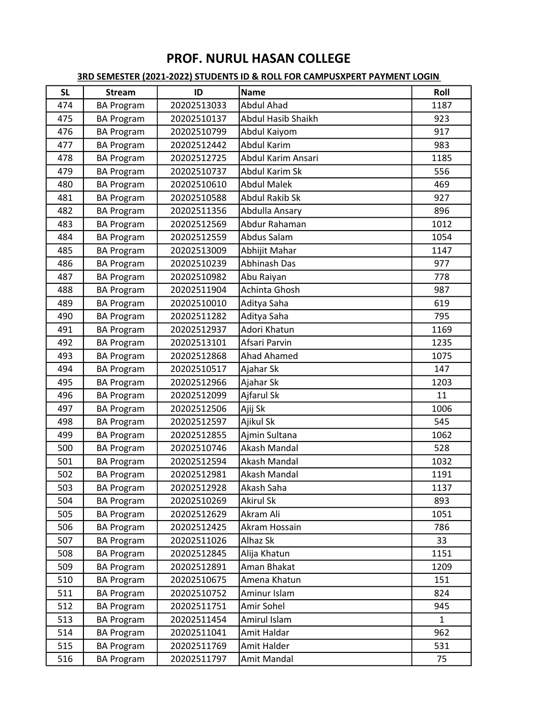| <b>SL</b> | <b>Stream</b>     | ID          | <b>Name</b>         | Roll         |
|-----------|-------------------|-------------|---------------------|--------------|
| 474       | <b>BA Program</b> | 20202513033 | <b>Abdul Ahad</b>   | 1187         |
| 475       | <b>BA Program</b> | 20202510137 | Abdul Hasib Shaikh  | 923          |
| 476       | <b>BA Program</b> | 20202510799 | Abdul Kaiyom        | 917          |
| 477       | <b>BA Program</b> | 20202512442 | <b>Abdul Karim</b>  | 983          |
| 478       | <b>BA Program</b> | 20202512725 | Abdul Karim Ansari  | 1185         |
| 479       | <b>BA Program</b> | 20202510737 | Abdul Karim Sk      | 556          |
| 480       | <b>BA Program</b> | 20202510610 | <b>Abdul Malek</b>  | 469          |
| 481       | <b>BA Program</b> | 20202510588 | Abdul Rakib Sk      | 927          |
| 482       | <b>BA Program</b> | 20202511356 | Abdulla Ansary      | 896          |
| 483       | <b>BA Program</b> | 20202512569 | Abdur Rahaman       | 1012         |
| 484       | <b>BA Program</b> | 20202512559 | Abdus Salam         | 1054         |
| 485       | <b>BA Program</b> | 20202513009 | Abhijit Mahar       | 1147         |
| 486       | <b>BA Program</b> | 20202510239 | <b>Abhinash Das</b> | 977          |
| 487       | <b>BA Program</b> | 20202510982 | Abu Raiyan          | 778          |
| 488       | <b>BA Program</b> | 20202511904 | Achinta Ghosh       | 987          |
| 489       | <b>BA Program</b> | 20202510010 | Aditya Saha         | 619          |
| 490       | <b>BA Program</b> | 20202511282 | Aditya Saha         | 795          |
| 491       | <b>BA Program</b> | 20202512937 | Adori Khatun        | 1169         |
| 492       | <b>BA Program</b> | 20202513101 | Afsari Parvin       | 1235         |
| 493       | <b>BA Program</b> | 20202512868 | <b>Ahad Ahamed</b>  | 1075         |
| 494       | <b>BA Program</b> | 20202510517 | Ajahar Sk           | 147          |
| 495       | <b>BA Program</b> | 20202512966 | Ajahar Sk           | 1203         |
| 496       | <b>BA Program</b> | 20202512099 | Ajfarul Sk          | 11           |
| 497       | <b>BA Program</b> | 20202512506 | Ajij Sk             | 1006         |
| 498       | <b>BA Program</b> | 20202512597 | Ajikul Sk           | 545          |
| 499       | <b>BA Program</b> | 20202512855 | Ajmin Sultana       | 1062         |
| 500       | <b>BA Program</b> | 20202510746 | Akash Mandal        | 528          |
| 501       | <b>BA Program</b> | 20202512594 | Akash Mandal        | 1032         |
| 502       | <b>BA Program</b> | 20202512981 | Akash Mandal        | 1191         |
| 503       | <b>BA Program</b> | 20202512928 | Akash Saha          | 1137         |
| 504       | <b>BA Program</b> | 20202510269 | <b>Akirul Sk</b>    | 893          |
| 505       | <b>BA Program</b> | 20202512629 | Akram Ali           | 1051         |
| 506       | <b>BA Program</b> | 20202512425 | Akram Hossain       | 786          |
| 507       | <b>BA Program</b> | 20202511026 | Alhaz Sk            | 33           |
| 508       | <b>BA Program</b> | 20202512845 | Alija Khatun        | 1151         |
| 509       | <b>BA Program</b> | 20202512891 | Aman Bhakat         | 1209         |
| 510       | <b>BA Program</b> | 20202510675 | Amena Khatun        | 151          |
| 511       | <b>BA Program</b> | 20202510752 | Aminur Islam        | 824          |
| 512       | <b>BA Program</b> | 20202511751 | Amir Sohel          | 945          |
| 513       | <b>BA Program</b> | 20202511454 | Amirul Islam        | $\mathbf{1}$ |
| 514       | <b>BA Program</b> | 20202511041 | Amit Haldar         | 962          |
| 515       | <b>BA Program</b> | 20202511769 | Amit Halder         | 531          |
| 516       | <b>BA Program</b> | 20202511797 | Amit Mandal         | 75           |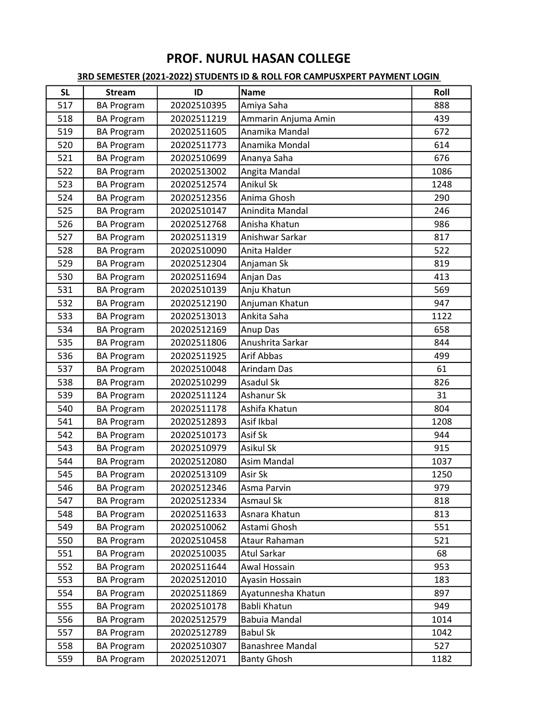| <b>SL</b> | <b>Stream</b>     | ID          | <b>Name</b>          | Roll |
|-----------|-------------------|-------------|----------------------|------|
| 517       | <b>BA Program</b> | 20202510395 | Amiya Saha           | 888  |
| 518       | <b>BA Program</b> | 20202511219 | Ammarin Anjuma Amin  | 439  |
| 519       | <b>BA Program</b> | 20202511605 | Anamika Mandal       | 672  |
| 520       | <b>BA Program</b> | 20202511773 | Anamika Mondal       | 614  |
| 521       | <b>BA Program</b> | 20202510699 | Ananya Saha          | 676  |
| 522       | <b>BA Program</b> | 20202513002 | Angita Mandal        | 1086 |
| 523       | <b>BA Program</b> | 20202512574 | <b>Anikul Sk</b>     | 1248 |
| 524       | <b>BA Program</b> | 20202512356 | Anima Ghosh          | 290  |
| 525       | <b>BA Program</b> | 20202510147 | Anindita Mandal      | 246  |
| 526       | <b>BA Program</b> | 20202512768 | Anisha Khatun        | 986  |
| 527       | <b>BA Program</b> | 20202511319 | Anishwar Sarkar      | 817  |
| 528       | <b>BA Program</b> | 20202510090 | Anita Halder         | 522  |
| 529       | <b>BA Program</b> | 20202512304 | Anjaman Sk           | 819  |
| 530       | <b>BA Program</b> | 20202511694 | Anjan Das            | 413  |
| 531       | <b>BA Program</b> | 20202510139 | Anju Khatun          | 569  |
| 532       | <b>BA Program</b> | 20202512190 | Anjuman Khatun       | 947  |
| 533       | <b>BA Program</b> | 20202513013 | Ankita Saha          | 1122 |
| 534       | <b>BA Program</b> | 20202512169 | Anup Das             | 658  |
| 535       | <b>BA Program</b> | 20202511806 | Anushrita Sarkar     | 844  |
| 536       | <b>BA Program</b> | 20202511925 | Arif Abbas           | 499  |
| 537       | <b>BA Program</b> | 20202510048 | Arindam Das          | 61   |
| 538       | <b>BA Program</b> | 20202510299 | <b>Asadul Sk</b>     | 826  |
| 539       | <b>BA Program</b> | 20202511124 | Ashanur Sk           | 31   |
| 540       | <b>BA Program</b> | 20202511178 | Ashifa Khatun        | 804  |
| 541       | <b>BA Program</b> | 20202512893 | Asif Ikbal           | 1208 |
| 542       | <b>BA Program</b> | 20202510173 | Asif Sk              | 944  |
| 543       | <b>BA Program</b> | 20202510979 | <b>Asikul Sk</b>     | 915  |
| 544       | <b>BA Program</b> | 20202512080 | <b>Asim Mandal</b>   | 1037 |
| 545       | <b>BA Program</b> | 20202513109 | Asir Sk              | 1250 |
| 546       | <b>BA Program</b> | 20202512346 | Asma Parvin          | 979  |
| 547       | <b>BA Program</b> | 20202512334 | Asmaul Sk            | 818  |
| 548       | <b>BA Program</b> | 20202511633 | Asnara Khatun        | 813  |
| 549       | <b>BA Program</b> | 20202510062 | Astami Ghosh         | 551  |
| 550       | <b>BA Program</b> | 20202510458 | Ataur Rahaman        | 521  |
| 551       | <b>BA Program</b> | 20202510035 | Atul Sarkar          | 68   |
| 552       | <b>BA Program</b> | 20202511644 | Awal Hossain         | 953  |
| 553       | <b>BA Program</b> | 20202512010 | Ayasin Hossain       | 183  |
| 554       | <b>BA Program</b> | 20202511869 | Ayatunnesha Khatun   | 897  |
| 555       | <b>BA Program</b> | 20202510178 | Babli Khatun         | 949  |
| 556       | <b>BA Program</b> | 20202512579 | <b>Babuia Mandal</b> | 1014 |
| 557       | <b>BA Program</b> | 20202512789 | <b>Babul Sk</b>      | 1042 |
| 558       | <b>BA Program</b> | 20202510307 | Banashree Mandal     | 527  |
| 559       | <b>BA Program</b> | 20202512071 | <b>Banty Ghosh</b>   | 1182 |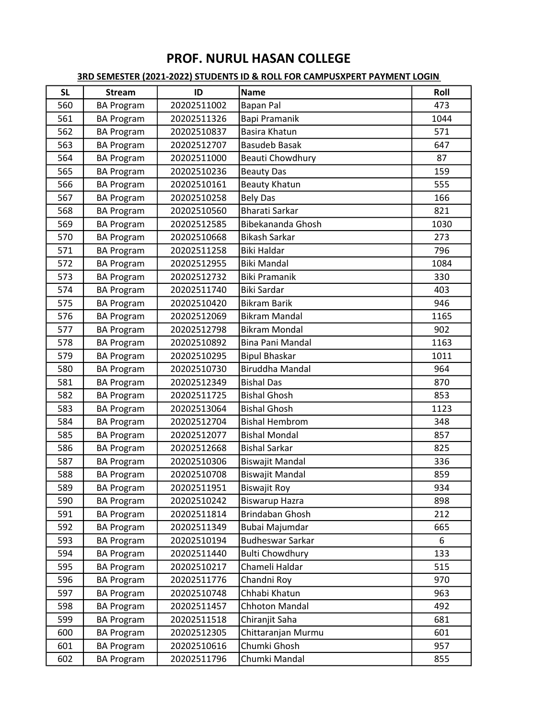| <b>SL</b> | <b>Stream</b>     | ID          | <b>Name</b>             | Roll |
|-----------|-------------------|-------------|-------------------------|------|
| 560       | <b>BA Program</b> | 20202511002 | <b>Bapan Pal</b>        | 473  |
| 561       | <b>BA Program</b> | 20202511326 | <b>Bapi Pramanik</b>    | 1044 |
| 562       | <b>BA Program</b> | 20202510837 | <b>Basira Khatun</b>    | 571  |
| 563       | <b>BA Program</b> | 20202512707 | <b>Basudeb Basak</b>    | 647  |
| 564       | <b>BA Program</b> | 20202511000 | Beauti Chowdhury        | 87   |
| 565       | <b>BA Program</b> | 20202510236 | <b>Beauty Das</b>       | 159  |
| 566       | <b>BA Program</b> | 20202510161 | <b>Beauty Khatun</b>    | 555  |
| 567       | <b>BA Program</b> | 20202510258 | <b>Bely Das</b>         | 166  |
| 568       | <b>BA Program</b> | 20202510560 | <b>Bharati Sarkar</b>   | 821  |
| 569       | <b>BA Program</b> | 20202512585 | Bibekananda Ghosh       | 1030 |
| 570       | <b>BA Program</b> | 20202510668 | <b>Bikash Sarkar</b>    | 273  |
| 571       | <b>BA Program</b> | 20202511258 | <b>Biki Haldar</b>      | 796  |
| 572       | <b>BA Program</b> | 20202512955 | <b>Biki Mandal</b>      | 1084 |
| 573       | <b>BA Program</b> | 20202512732 | <b>Biki Pramanik</b>    | 330  |
| 574       | <b>BA Program</b> | 20202511740 | <b>Biki Sardar</b>      | 403  |
| 575       | <b>BA Program</b> | 20202510420 | <b>Bikram Barik</b>     | 946  |
| 576       | <b>BA Program</b> | 20202512069 | <b>Bikram Mandal</b>    | 1165 |
| 577       | <b>BA Program</b> | 20202512798 | <b>Bikram Mondal</b>    | 902  |
| 578       | <b>BA Program</b> | 20202510892 | Bina Pani Mandal        | 1163 |
| 579       | <b>BA Program</b> | 20202510295 | <b>Bipul Bhaskar</b>    | 1011 |
| 580       | <b>BA Program</b> | 20202510730 | <b>Biruddha Mandal</b>  | 964  |
| 581       | <b>BA Program</b> | 20202512349 | <b>Bishal Das</b>       | 870  |
| 582       | <b>BA Program</b> | 20202511725 | <b>Bishal Ghosh</b>     | 853  |
| 583       | <b>BA Program</b> | 20202513064 | <b>Bishal Ghosh</b>     | 1123 |
| 584       | <b>BA Program</b> | 20202512704 | <b>Bishal Hembrom</b>   | 348  |
| 585       | <b>BA Program</b> | 20202512077 | <b>Bishal Mondal</b>    | 857  |
| 586       | <b>BA Program</b> | 20202512668 | <b>Bishal Sarkar</b>    | 825  |
| 587       | <b>BA Program</b> | 20202510306 | <b>Biswajit Mandal</b>  | 336  |
| 588       | <b>BA Program</b> | 20202510708 | <b>Biswajit Mandal</b>  | 859  |
| 589       | <b>BA Program</b> | 20202511951 | Biswajit Roy            | 934  |
| 590       | <b>BA Program</b> | 20202510242 | <b>Biswarup Hazra</b>   | 898  |
| 591       | <b>BA Program</b> | 20202511814 | Brindaban Ghosh         | 212  |
| 592       | <b>BA Program</b> | 20202511349 | Bubai Majumdar          | 665  |
| 593       | <b>BA Program</b> | 20202510194 | <b>Budheswar Sarkar</b> | 6    |
| 594       | <b>BA Program</b> | 20202511440 | <b>Bulti Chowdhury</b>  | 133  |
| 595       | <b>BA Program</b> | 20202510217 | Chameli Haldar          | 515  |
| 596       | <b>BA Program</b> | 20202511776 | Chandni Roy             | 970  |
| 597       | <b>BA Program</b> | 20202510748 | Chhabi Khatun           | 963  |
| 598       | <b>BA Program</b> | 20202511457 | Chhoton Mandal          | 492  |
| 599       | <b>BA Program</b> | 20202511518 | Chiranjit Saha          | 681  |
| 600       | <b>BA Program</b> | 20202512305 | Chittaranjan Murmu      | 601  |
| 601       | <b>BA Program</b> | 20202510616 | Chumki Ghosh            | 957  |
| 602       | <b>BA Program</b> | 20202511796 | Chumki Mandal           | 855  |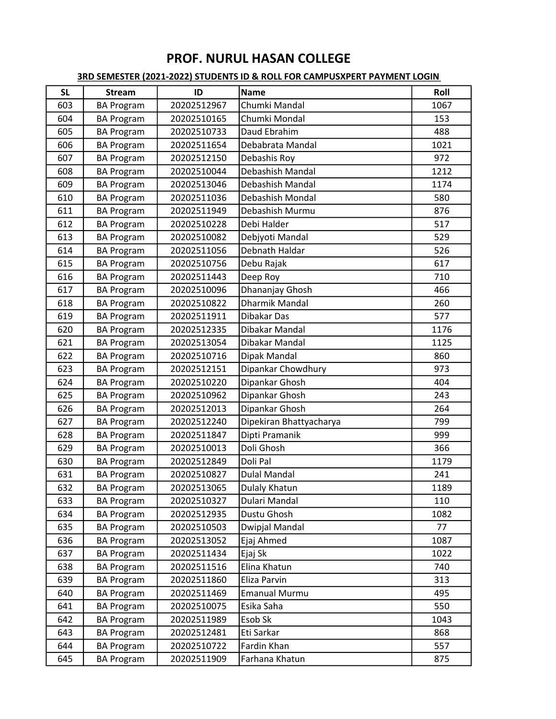| <b>SL</b> | <b>Stream</b>     | ID          | <b>Name</b>             | Roll |
|-----------|-------------------|-------------|-------------------------|------|
| 603       | <b>BA Program</b> | 20202512967 | Chumki Mandal           | 1067 |
| 604       | <b>BA Program</b> | 20202510165 | Chumki Mondal           | 153  |
| 605       | <b>BA Program</b> | 20202510733 | Daud Ebrahim            | 488  |
| 606       | <b>BA Program</b> | 20202511654 | Debabrata Mandal        | 1021 |
| 607       | <b>BA Program</b> | 20202512150 | Debashis Roy            | 972  |
| 608       | <b>BA Program</b> | 20202510044 | Debashish Mandal        | 1212 |
| 609       | <b>BA Program</b> | 20202513046 | Debashish Mandal        | 1174 |
| 610       | <b>BA Program</b> | 20202511036 | Debashish Mondal        | 580  |
| 611       | <b>BA Program</b> | 20202511949 | Debashish Murmu         | 876  |
| 612       | <b>BA Program</b> | 20202510228 | Debi Halder             | 517  |
| 613       | <b>BA Program</b> | 20202510082 | Debjyoti Mandal         | 529  |
| 614       | <b>BA Program</b> | 20202511056 | Debnath Haldar          | 526  |
| 615       | <b>BA Program</b> | 20202510756 | Debu Rajak              | 617  |
| 616       | <b>BA Program</b> | 20202511443 | Deep Roy                | 710  |
| 617       | <b>BA Program</b> | 20202510096 | Dhananjay Ghosh         | 466  |
| 618       | <b>BA Program</b> | 20202510822 | Dharmik Mandal          | 260  |
| 619       | <b>BA Program</b> | 20202511911 | Dibakar Das             | 577  |
| 620       | <b>BA Program</b> | 20202512335 | Dibakar Mandal          | 1176 |
| 621       | <b>BA Program</b> | 20202513054 | Dibakar Mandal          | 1125 |
| 622       | <b>BA Program</b> | 20202510716 | Dipak Mandal            | 860  |
| 623       | <b>BA Program</b> | 20202512151 | Dipankar Chowdhury      | 973  |
| 624       | <b>BA Program</b> | 20202510220 | Dipankar Ghosh          | 404  |
| 625       | <b>BA Program</b> | 20202510962 | Dipankar Ghosh          | 243  |
| 626       | <b>BA Program</b> | 20202512013 | Dipankar Ghosh          | 264  |
| 627       | <b>BA Program</b> | 20202512240 | Dipekiran Bhattyacharya | 799  |
| 628       | <b>BA Program</b> | 20202511847 | Dipti Pramanik          | 999  |
| 629       | <b>BA Program</b> | 20202510013 | Doli Ghosh              | 366  |
| 630       | <b>BA Program</b> | 20202512849 | Doli Pal                | 1179 |
| 631       | <b>BA Program</b> | 20202510827 | <b>Dulal Mandal</b>     | 241  |
| 632       | <b>BA Program</b> | 20202513065 | Dulaly Khatun           | 1189 |
| 633       | <b>BA Program</b> | 20202510327 | Dulari Mandal           | 110  |
| 634       | <b>BA Program</b> | 20202512935 | Dustu Ghosh             | 1082 |
| 635       | <b>BA Program</b> | 20202510503 | Dwipjal Mandal          | 77   |
| 636       | <b>BA Program</b> | 20202513052 | Ejaj Ahmed              | 1087 |
| 637       | <b>BA Program</b> | 20202511434 | Ejaj Sk                 | 1022 |
| 638       | <b>BA Program</b> | 20202511516 | Elina Khatun            | 740  |
| 639       | <b>BA Program</b> | 20202511860 | Eliza Parvin            | 313  |
| 640       | <b>BA Program</b> | 20202511469 | <b>Emanual Murmu</b>    | 495  |
| 641       | <b>BA Program</b> | 20202510075 | Esika Saha              | 550  |
| 642       | <b>BA Program</b> | 20202511989 | Esob Sk                 | 1043 |
| 643       | <b>BA Program</b> | 20202512481 | Eti Sarkar              | 868  |
| 644       | <b>BA Program</b> | 20202510722 | Fardin Khan             | 557  |
| 645       | <b>BA Program</b> | 20202511909 | Farhana Khatun          | 875  |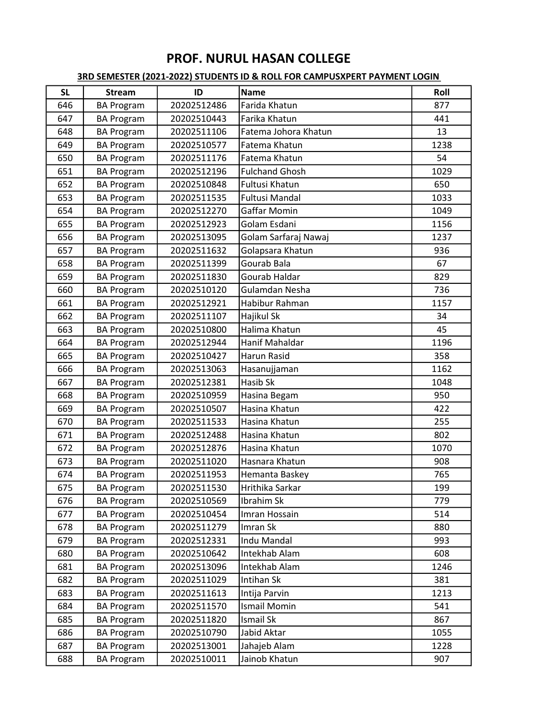| <b>SL</b> | <b>Stream</b>     | ID          | <b>Name</b>           | Roll |
|-----------|-------------------|-------------|-----------------------|------|
| 646       | <b>BA Program</b> | 20202512486 | Farida Khatun         | 877  |
| 647       | <b>BA Program</b> | 20202510443 | Farika Khatun         | 441  |
| 648       | <b>BA Program</b> | 20202511106 | Fatema Johora Khatun  | 13   |
| 649       | <b>BA Program</b> | 20202510577 | Fatema Khatun         | 1238 |
| 650       | <b>BA Program</b> | 20202511176 | Fatema Khatun         | 54   |
| 651       | <b>BA Program</b> | 20202512196 | <b>Fulchand Ghosh</b> | 1029 |
| 652       | <b>BA Program</b> | 20202510848 | <b>Fultusi Khatun</b> | 650  |
| 653       | <b>BA Program</b> | 20202511535 | Fultusi Mandal        | 1033 |
| 654       | <b>BA Program</b> | 20202512270 | Gaffar Momin          | 1049 |
| 655       | <b>BA Program</b> | 20202512923 | Golam Esdani          | 1156 |
| 656       | <b>BA Program</b> | 20202513095 | Golam Sarfaraj Nawaj  | 1237 |
| 657       | <b>BA Program</b> | 20202511632 | Golapsara Khatun      | 936  |
| 658       | <b>BA Program</b> | 20202511399 | Gourab Bala           | 67   |
| 659       | <b>BA Program</b> | 20202511830 | Gourab Haldar         | 829  |
| 660       | <b>BA Program</b> | 20202510120 | Gulamdan Nesha        | 736  |
| 661       | <b>BA Program</b> | 20202512921 | Habibur Rahman        | 1157 |
| 662       | <b>BA Program</b> | 20202511107 | Hajikul Sk            | 34   |
| 663       | <b>BA Program</b> | 20202510800 | Halima Khatun         | 45   |
| 664       | <b>BA Program</b> | 20202512944 | Hanif Mahaldar        | 1196 |
| 665       | <b>BA Program</b> | 20202510427 | Harun Rasid           | 358  |
| 666       | <b>BA Program</b> | 20202513063 | Hasanujjaman          | 1162 |
| 667       | <b>BA Program</b> | 20202512381 | Hasib Sk              | 1048 |
| 668       | <b>BA Program</b> | 20202510959 | Hasina Begam          | 950  |
| 669       | <b>BA Program</b> | 20202510507 | Hasina Khatun         | 422  |
| 670       | <b>BA Program</b> | 20202511533 | Hasina Khatun         | 255  |
| 671       | <b>BA Program</b> | 20202512488 | Hasina Khatun         | 802  |
| 672       | <b>BA Program</b> | 20202512876 | Hasina Khatun         | 1070 |
| 673       | <b>BA Program</b> | 20202511020 | Hasnara Khatun        | 908  |
| 674       | <b>BA Program</b> | 20202511953 | Hemanta Baskey        | 765  |
| 675       | <b>BA Program</b> | 20202511530 | Hrithika Sarkar       | 199  |
| 676       | <b>BA Program</b> | 20202510569 | Ibrahim Sk            | 779  |
| 677       | <b>BA Program</b> | 20202510454 | Imran Hossain         | 514  |
| 678       | <b>BA Program</b> | 20202511279 | Imran Sk              | 880  |
| 679       | <b>BA Program</b> | 20202512331 | Indu Mandal           | 993  |
| 680       | <b>BA Program</b> | 20202510642 | Intekhab Alam         | 608  |
| 681       | <b>BA Program</b> | 20202513096 | Intekhab Alam         | 1246 |
| 682       | <b>BA Program</b> | 20202511029 | Intihan Sk            | 381  |
| 683       | <b>BA Program</b> | 20202511613 | Intija Parvin         | 1213 |
| 684       | <b>BA Program</b> | 20202511570 | <b>Ismail Momin</b>   | 541  |
| 685       | <b>BA Program</b> | 20202511820 | <b>Ismail Sk</b>      | 867  |
| 686       | <b>BA Program</b> | 20202510790 | Jabid Aktar           | 1055 |
| 687       | <b>BA Program</b> | 20202513001 | Jahajeb Alam          | 1228 |
| 688       | <b>BA Program</b> | 20202510011 | Jainob Khatun         | 907  |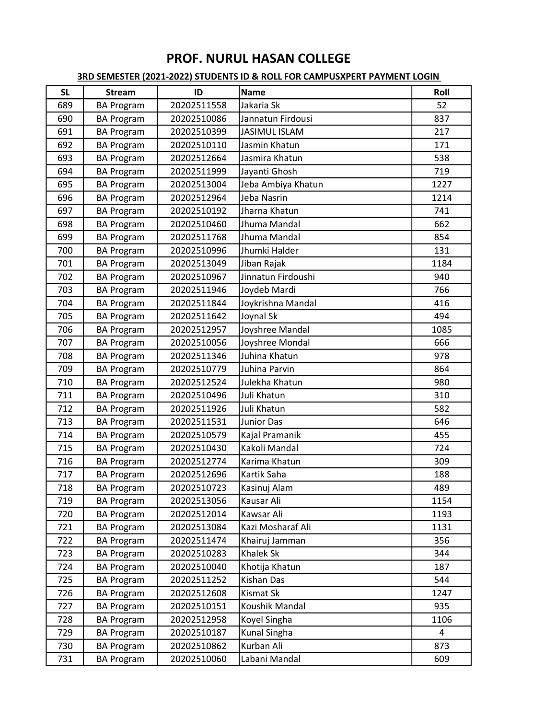| <b>SL</b> | <b>Stream</b>     | ID          | <b>Name</b>          | Roll |
|-----------|-------------------|-------------|----------------------|------|
| 689       | <b>BA Program</b> | 20202511558 | Jakaria Sk           | 52   |
| 690       | <b>BA Program</b> | 20202510086 | Jannatun Firdousi    | 837  |
| 691       | <b>BA Program</b> | 20202510399 | <b>JASIMUL ISLAM</b> | 217  |
| 692       | <b>BA Program</b> | 20202510110 | Jasmin Khatun        | 171  |
| 693       | <b>BA Program</b> | 20202512664 | Jasmira Khatun       | 538  |
| 694       | <b>BA Program</b> | 20202511999 | Jayanti Ghosh        | 719  |
| 695       | <b>BA Program</b> | 20202513004 | Jeba Ambiya Khatun   | 1227 |
| 696       | <b>BA Program</b> | 20202512964 | Jeba Nasrin          | 1214 |
| 697       | <b>BA Program</b> | 20202510192 | Jharna Khatun        | 741  |
| 698       | <b>BA Program</b> | 20202510460 | Jhuma Mandal         | 662  |
| 699       | <b>BA Program</b> | 20202511768 | Jhuma Mandal         | 854  |
| 700       | <b>BA Program</b> | 20202510996 | Jhumki Halder        | 131  |
| 701       | <b>BA Program</b> | 20202513049 | Jiban Rajak          | 1184 |
| 702       | <b>BA Program</b> | 20202510967 | Jinnatun Firdoushi   | 940  |
| 703       | <b>BA Program</b> | 20202511946 | Joydeb Mardi         | 766  |
| 704       | <b>BA Program</b> | 20202511844 | Joykrishna Mandal    | 416  |
| 705       | <b>BA Program</b> | 20202511642 | Joynal Sk            | 494  |
| 706       | <b>BA Program</b> | 20202512957 | Joyshree Mandal      | 1085 |
| 707       | <b>BA Program</b> | 20202510056 | Joyshree Mondal      | 666  |
| 708       | <b>BA Program</b> | 20202511346 | Juhina Khatun        | 978  |
| 709       | <b>BA Program</b> | 20202510779 | Juhina Parvin        | 864  |
| 710       | <b>BA Program</b> | 20202512524 | Julekha Khatun       | 980  |
| 711       | <b>BA Program</b> | 20202510496 | Juli Khatun          | 310  |
| 712       | <b>BA Program</b> | 20202511926 | Juli Khatun          | 582  |
| 713       | <b>BA Program</b> | 20202511531 | <b>Junior Das</b>    | 646  |
| 714       | <b>BA Program</b> | 20202510579 | Kajal Pramanik       | 455  |
| 715       | <b>BA Program</b> | 20202510430 | Kakoli Mandal        | 724  |
| 716       | <b>BA Program</b> | 20202512774 | Karima Khatun        | 309  |
| 717       | <b>BA Program</b> | 20202512696 | Kartik Saha          | 188  |
| 718       | <b>BA Program</b> | 20202510723 | Kasinuj Alam         | 489  |
| 719       | <b>BA Program</b> | 20202513056 | Kausar Ali           | 1154 |
| 720       | <b>BA Program</b> | 20202512014 | Kawsar Ali           | 1193 |
| 721       | <b>BA Program</b> | 20202513084 | Kazi Mosharaf Ali    | 1131 |
| 722       | <b>BA Program</b> | 20202511474 | Khairuj Jamman       | 356  |
| 723       | <b>BA Program</b> | 20202510283 | <b>Khalek Sk</b>     | 344  |
| 724       | <b>BA Program</b> | 20202510040 | Khotija Khatun       | 187  |
| 725       | <b>BA Program</b> | 20202511252 | Kishan Das           | 544  |
| 726       | <b>BA Program</b> | 20202512608 | <b>Kismat Sk</b>     | 1247 |
| 727       | <b>BA Program</b> | 20202510151 | Koushik Mandal       | 935  |
| 728       | <b>BA Program</b> | 20202512958 | Koyel Singha         | 1106 |
| 729       | <b>BA Program</b> | 20202510187 | Kunal Singha         | 4    |
| 730       | <b>BA Program</b> | 20202510862 | Kurban Ali           | 873  |
| 731       | <b>BA Program</b> | 20202510060 | Labani Mandal        | 609  |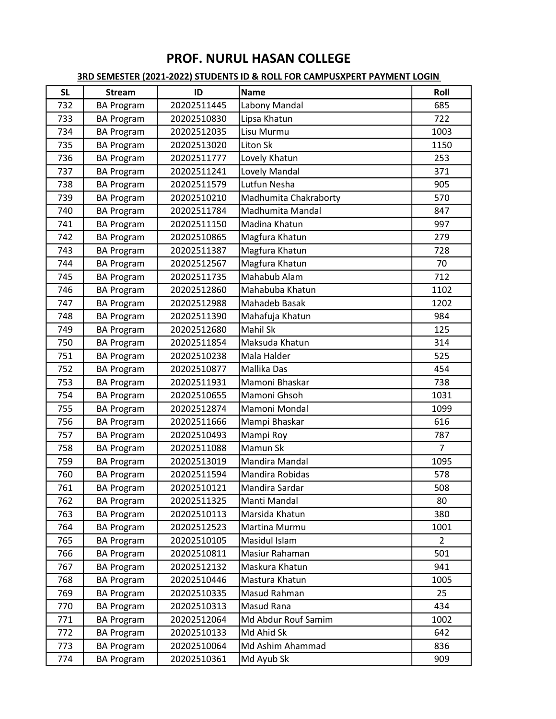| <b>SL</b> | <b>Stream</b>     | ID          | <b>Name</b>           | Roll           |
|-----------|-------------------|-------------|-----------------------|----------------|
| 732       | <b>BA Program</b> | 20202511445 | Labony Mandal         | 685            |
| 733       | <b>BA Program</b> | 20202510830 | Lipsa Khatun          | 722            |
| 734       | <b>BA Program</b> | 20202512035 | Lisu Murmu            | 1003           |
| 735       | <b>BA Program</b> | 20202513020 | Liton Sk              | 1150           |
| 736       | <b>BA Program</b> | 20202511777 | Lovely Khatun         | 253            |
| 737       | <b>BA Program</b> | 20202511241 | Lovely Mandal         | 371            |
| 738       | <b>BA Program</b> | 20202511579 | Lutfun Nesha          | 905            |
| 739       | <b>BA Program</b> | 20202510210 | Madhumita Chakraborty | 570            |
| 740       | <b>BA Program</b> | 20202511784 | Madhumita Mandal      | 847            |
| 741       | <b>BA Program</b> | 20202511150 | Madina Khatun         | 997            |
| 742       | <b>BA Program</b> | 20202510865 | Magfura Khatun        | 279            |
| 743       | <b>BA Program</b> | 20202511387 | Magfura Khatun        | 728            |
| 744       | <b>BA Program</b> | 20202512567 | Magfura Khatun        | 70             |
| 745       | <b>BA Program</b> | 20202511735 | Mahabub Alam          | 712            |
| 746       | <b>BA Program</b> | 20202512860 | Mahabuba Khatun       | 1102           |
| 747       | <b>BA Program</b> | 20202512988 | Mahadeb Basak         | 1202           |
| 748       | <b>BA Program</b> | 20202511390 | Mahafuja Khatun       | 984            |
| 749       | <b>BA Program</b> | 20202512680 | Mahil Sk              | 125            |
| 750       | <b>BA Program</b> | 20202511854 | Maksuda Khatun        | 314            |
| 751       | <b>BA Program</b> | 20202510238 | Mala Halder           | 525            |
| 752       | <b>BA Program</b> | 20202510877 | Mallika Das           | 454            |
| 753       | <b>BA Program</b> | 20202511931 | Mamoni Bhaskar        | 738            |
| 754       | <b>BA Program</b> | 20202510655 | Mamoni Ghsoh          | 1031           |
| 755       | <b>BA Program</b> | 20202512874 | Mamoni Mondal         | 1099           |
| 756       | <b>BA Program</b> | 20202511666 | Mampi Bhaskar         | 616            |
| 757       | <b>BA Program</b> | 20202510493 | Mampi Roy             | 787            |
| 758       | <b>BA Program</b> | 20202511088 | Mamun Sk              | $\overline{7}$ |
| 759       | <b>BA Program</b> | 20202513019 | Mandira Mandal        | 1095           |
| 760       | <b>BA Program</b> | 20202511594 | Mandira Robidas       | 578            |
| 761       | <b>BA Program</b> | 20202510121 | Mandira Sardar        | 508            |
| 762       | <b>BA Program</b> | 20202511325 | Manti Mandal          | 80             |
| 763       | <b>BA Program</b> | 20202510113 | Marsida Khatun        | 380            |
| 764       | <b>BA Program</b> | 20202512523 | Martina Murmu         | 1001           |
| 765       | <b>BA Program</b> | 20202510105 | Masidul Islam         | $\overline{2}$ |
| 766       | <b>BA Program</b> | 20202510811 | Masiur Rahaman        | 501            |
| 767       | <b>BA Program</b> | 20202512132 | Maskura Khatun        | 941            |
| 768       | <b>BA Program</b> | 20202510446 | Mastura Khatun        | 1005           |
| 769       | <b>BA Program</b> | 20202510335 | Masud Rahman          | 25             |
| 770       | <b>BA Program</b> | 20202510313 | Masud Rana            | 434            |
| 771       | <b>BA Program</b> | 20202512064 | Md Abdur Rouf Samim   | 1002           |
| 772       | <b>BA Program</b> | 20202510133 | Md Ahid Sk            | 642            |
| 773       | <b>BA Program</b> | 20202510064 | Md Ashim Ahammad      | 836            |
| 774       | <b>BA Program</b> | 20202510361 | Md Ayub Sk            | 909            |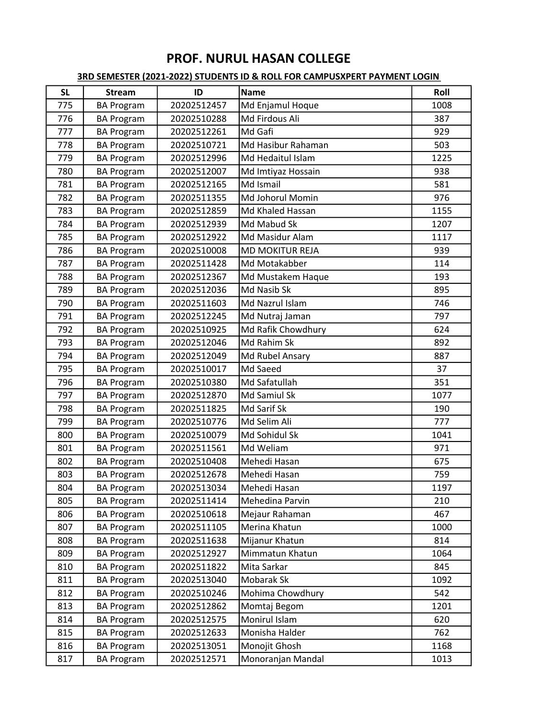| <b>SL</b> | <b>Stream</b>     | ID          | <b>Name</b>        | Roll |
|-----------|-------------------|-------------|--------------------|------|
| 775       | <b>BA Program</b> | 20202512457 | Md Enjamul Hoque   | 1008 |
| 776       | <b>BA Program</b> | 20202510288 | Md Firdous Ali     | 387  |
| 777       | <b>BA Program</b> | 20202512261 | Md Gafi            | 929  |
| 778       | <b>BA Program</b> | 20202510721 | Md Hasibur Rahaman | 503  |
| 779       | <b>BA Program</b> | 20202512996 | Md Hedaitul Islam  | 1225 |
| 780       | <b>BA Program</b> | 20202512007 | Md Imtiyaz Hossain | 938  |
| 781       | <b>BA Program</b> | 20202512165 | Md Ismail          | 581  |
| 782       | <b>BA Program</b> | 20202511355 | Md Johorul Momin   | 976  |
| 783       | <b>BA Program</b> | 20202512859 | Md Khaled Hassan   | 1155 |
| 784       | <b>BA Program</b> | 20202512939 | Md Mabud Sk        | 1207 |
| 785       | <b>BA Program</b> | 20202512922 | Md Masidur Alam    | 1117 |
| 786       | <b>BA Program</b> | 20202510008 | MD MOKITUR REJA    | 939  |
| 787       | <b>BA Program</b> | 20202511428 | Md Motakabber      | 114  |
| 788       | <b>BA Program</b> | 20202512367 | Md Mustakem Haque  | 193  |
| 789       | <b>BA Program</b> | 20202512036 | Md Nasib Sk        | 895  |
| 790       | <b>BA Program</b> | 20202511603 | Md Nazrul Islam    | 746  |
| 791       | <b>BA Program</b> | 20202512245 | Md Nutraj Jaman    | 797  |
| 792       | <b>BA Program</b> | 20202510925 | Md Rafik Chowdhury | 624  |
| 793       | <b>BA Program</b> | 20202512046 | Md Rahim Sk        | 892  |
| 794       | <b>BA Program</b> | 20202512049 | Md Rubel Ansary    | 887  |
| 795       | <b>BA Program</b> | 20202510017 | Md Saeed           | 37   |
| 796       | <b>BA Program</b> | 20202510380 | Md Safatullah      | 351  |
| 797       | <b>BA Program</b> | 20202512870 | Md Samiul Sk       | 1077 |
| 798       | <b>BA Program</b> | 20202511825 | Md Sarif Sk        | 190  |
| 799       | <b>BA Program</b> | 20202510776 | Md Selim Ali       | 777  |
| 800       | <b>BA Program</b> | 20202510079 | Md Sohidul Sk      | 1041 |
| 801       | <b>BA Program</b> | 20202511561 | Md Weliam          | 971  |
| 802       | <b>BA Program</b> | 20202510408 | Mehedi Hasan       | 675  |
| 803       | <b>BA Program</b> | 20202512678 | Mehedi Hasan       | 759  |
| 804       | <b>BA Program</b> | 20202513034 | Mehedi Hasan       | 1197 |
| 805       | <b>BA Program</b> | 20202511414 | Mehedina Parvin    | 210  |
| 806       | <b>BA Program</b> | 20202510618 | Mejaur Rahaman     | 467  |
| 807       | <b>BA Program</b> | 20202511105 | Merina Khatun      | 1000 |
| 808       | <b>BA Program</b> | 20202511638 | Mijanur Khatun     | 814  |
| 809       | <b>BA Program</b> | 20202512927 | Mimmatun Khatun    | 1064 |
| 810       | <b>BA Program</b> | 20202511822 | Mita Sarkar        | 845  |
| 811       | <b>BA Program</b> | 20202513040 | Mobarak Sk         | 1092 |
| 812       | <b>BA Program</b> | 20202510246 | Mohima Chowdhury   | 542  |
| 813       | <b>BA Program</b> | 20202512862 | Momtaj Begom       | 1201 |
| 814       | <b>BA Program</b> | 20202512575 | Monirul Islam      | 620  |
| 815       | <b>BA Program</b> | 20202512633 | Monisha Halder     | 762  |
| 816       | <b>BA Program</b> | 20202513051 | Monojit Ghosh      | 1168 |
| 817       | <b>BA Program</b> | 20202512571 | Monoranjan Mandal  | 1013 |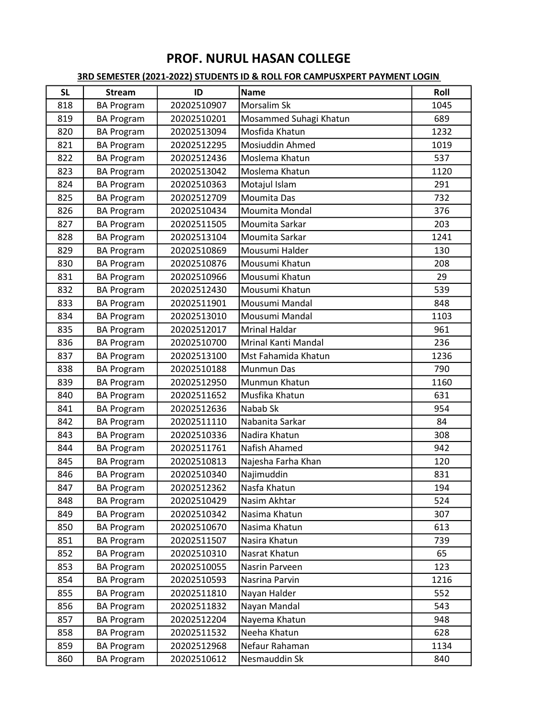| <b>SL</b> | <b>Stream</b>     | ID          | <b>Name</b>            | Roll |
|-----------|-------------------|-------------|------------------------|------|
| 818       | <b>BA Program</b> | 20202510907 | Morsalim Sk            | 1045 |
| 819       | <b>BA Program</b> | 20202510201 | Mosammed Suhagi Khatun | 689  |
| 820       | <b>BA Program</b> | 20202513094 | Mosfida Khatun         | 1232 |
| 821       | <b>BA Program</b> | 20202512295 | Mosiuddin Ahmed        | 1019 |
| 822       | <b>BA Program</b> | 20202512436 | Moslema Khatun         | 537  |
| 823       | <b>BA Program</b> | 20202513042 | Moslema Khatun         | 1120 |
| 824       | <b>BA Program</b> | 20202510363 | Motajul Islam          | 291  |
| 825       | <b>BA Program</b> | 20202512709 | Moumita Das            | 732  |
| 826       | <b>BA Program</b> | 20202510434 | Moumita Mondal         | 376  |
| 827       | <b>BA Program</b> | 20202511505 | Moumita Sarkar         | 203  |
| 828       | <b>BA Program</b> | 20202513104 | Moumita Sarkar         | 1241 |
| 829       | <b>BA Program</b> | 20202510869 | Mousumi Halder         | 130  |
| 830       | <b>BA Program</b> | 20202510876 | Mousumi Khatun         | 208  |
| 831       | <b>BA Program</b> | 20202510966 | Mousumi Khatun         | 29   |
| 832       | <b>BA Program</b> | 20202512430 | Mousumi Khatun         | 539  |
| 833       | <b>BA Program</b> | 20202511901 | Mousumi Mandal         | 848  |
| 834       | <b>BA Program</b> | 20202513010 | Mousumi Mandal         | 1103 |
| 835       | <b>BA Program</b> | 20202512017 | <b>Mrinal Haldar</b>   | 961  |
| 836       | <b>BA Program</b> | 20202510700 | Mrinal Kanti Mandal    | 236  |
| 837       | <b>BA Program</b> | 20202513100 | Mst Fahamida Khatun    | 1236 |
| 838       | <b>BA Program</b> | 20202510188 | Munmun Das             | 790  |
| 839       | <b>BA Program</b> | 20202512950 | Munmun Khatun          | 1160 |
| 840       | <b>BA Program</b> | 20202511652 | Musfika Khatun         | 631  |
| 841       | <b>BA Program</b> | 20202512636 | Nabab Sk               | 954  |
| 842       | <b>BA Program</b> | 20202511110 | Nabanita Sarkar        | 84   |
| 843       | <b>BA Program</b> | 20202510336 | Nadira Khatun          | 308  |
| 844       | <b>BA Program</b> | 20202511761 | Nafish Ahamed          | 942  |
| 845       | <b>BA Program</b> | 20202510813 | Najesha Farha Khan     | 120  |
| 846       | <b>BA Program</b> | 20202510340 | Najimuddin             | 831  |
| 847       | <b>BA Program</b> | 20202512362 | Nasfa Khatun           | 194  |
| 848       | <b>BA Program</b> | 20202510429 | Nasim Akhtar           | 524  |
| 849       | <b>BA Program</b> | 20202510342 | Nasima Khatun          | 307  |
| 850       | <b>BA Program</b> | 20202510670 | Nasima Khatun          | 613  |
| 851       | <b>BA Program</b> | 20202511507 | Nasira Khatun          | 739  |
| 852       | <b>BA Program</b> | 20202510310 | Nasrat Khatun          | 65   |
| 853       | <b>BA Program</b> | 20202510055 | Nasrin Parveen         | 123  |
| 854       | <b>BA Program</b> | 20202510593 | Nasrina Parvin         | 1216 |
| 855       | <b>BA Program</b> | 20202511810 | Nayan Halder           | 552  |
| 856       | <b>BA Program</b> | 20202511832 | Nayan Mandal           | 543  |
| 857       | <b>BA Program</b> | 20202512204 | Nayema Khatun          | 948  |
| 858       | <b>BA Program</b> | 20202511532 | Neeha Khatun           | 628  |
| 859       | <b>BA Program</b> | 20202512968 | Nefaur Rahaman         | 1134 |
| 860       | <b>BA Program</b> | 20202510612 | Nesmauddin Sk          | 840  |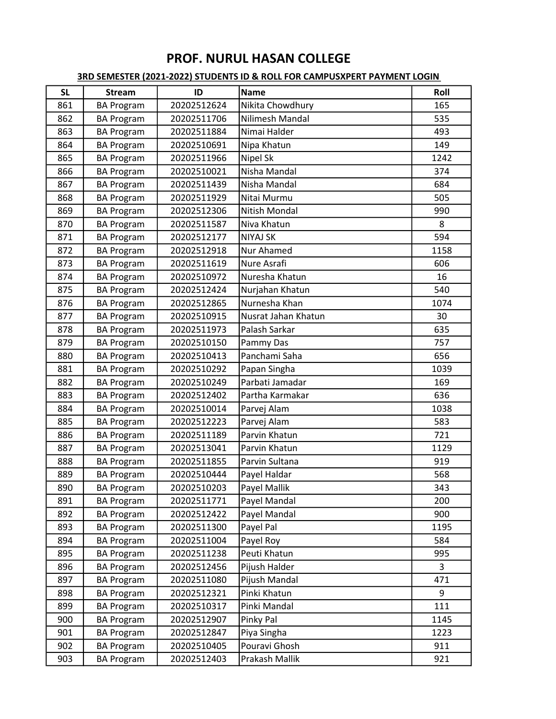| <b>SL</b> | <b>Stream</b>     | ID          | <b>Name</b>         | Roll |
|-----------|-------------------|-------------|---------------------|------|
| 861       | <b>BA Program</b> | 20202512624 | Nikita Chowdhury    | 165  |
| 862       | <b>BA Program</b> | 20202511706 | Nilimesh Mandal     | 535  |
| 863       | <b>BA Program</b> | 20202511884 | Nimai Halder        | 493  |
| 864       | <b>BA Program</b> | 20202510691 | Nipa Khatun         | 149  |
| 865       | <b>BA Program</b> | 20202511966 | Nipel Sk            | 1242 |
| 866       | <b>BA Program</b> | 20202510021 | Nisha Mandal        | 374  |
| 867       | <b>BA Program</b> | 20202511439 | Nisha Mandal        | 684  |
| 868       | <b>BA Program</b> | 20202511929 | Nitai Murmu         | 505  |
| 869       | <b>BA Program</b> | 20202512306 | Nitish Mondal       | 990  |
| 870       | <b>BA Program</b> | 20202511587 | Niva Khatun         | 8    |
| 871       | <b>BA Program</b> | 20202512177 | <b>NIYAJ SK</b>     | 594  |
| 872       | <b>BA Program</b> | 20202512918 | Nur Ahamed          | 1158 |
| 873       | <b>BA Program</b> | 20202511619 | Nure Asrafi         | 606  |
| 874       | <b>BA Program</b> | 20202510972 | Nuresha Khatun      | 16   |
| 875       | <b>BA Program</b> | 20202512424 | Nurjahan Khatun     | 540  |
| 876       | <b>BA Program</b> | 20202512865 | Nurnesha Khan       | 1074 |
| 877       | <b>BA Program</b> | 20202510915 | Nusrat Jahan Khatun | 30   |
| 878       | <b>BA Program</b> | 20202511973 | Palash Sarkar       | 635  |
| 879       | <b>BA Program</b> | 20202510150 | Pammy Das           | 757  |
| 880       | <b>BA Program</b> | 20202510413 | Panchami Saha       | 656  |
| 881       | <b>BA Program</b> | 20202510292 | Papan Singha        | 1039 |
| 882       | <b>BA Program</b> | 20202510249 | Parbati Jamadar     | 169  |
| 883       | <b>BA Program</b> | 20202512402 | Partha Karmakar     | 636  |
| 884       | <b>BA Program</b> | 20202510014 | Parvej Alam         | 1038 |
| 885       | <b>BA Program</b> | 20202512223 | Parvej Alam         | 583  |
| 886       | <b>BA Program</b> | 20202511189 | Parvin Khatun       | 721  |
| 887       | <b>BA Program</b> | 20202513041 | Parvin Khatun       | 1129 |
| 888       | <b>BA Program</b> | 20202511855 | Parvin Sultana      | 919  |
| 889       | <b>BA Program</b> | 20202510444 | Payel Haldar        | 568  |
| 890       | <b>BA Program</b> | 20202510203 | Payel Mallik        | 343  |
| 891       | <b>BA Program</b> | 20202511771 | Payel Mandal        | 200  |
| 892       | <b>BA Program</b> | 20202512422 | Payel Mandal        | 900  |
| 893       | <b>BA Program</b> | 20202511300 | Payel Pal           | 1195 |
| 894       | <b>BA Program</b> | 20202511004 | Payel Roy           | 584  |
| 895       | <b>BA Program</b> | 20202511238 | Peuti Khatun        | 995  |
| 896       | <b>BA Program</b> | 20202512456 | Pijush Halder       | 3    |
| 897       | <b>BA Program</b> | 20202511080 | Pijush Mandal       | 471  |
| 898       | <b>BA Program</b> | 20202512321 | Pinki Khatun        | 9    |
| 899       | <b>BA Program</b> | 20202510317 | Pinki Mandal        | 111  |
| 900       | <b>BA Program</b> | 20202512907 | Pinky Pal           | 1145 |
| 901       | <b>BA Program</b> | 20202512847 | Piya Singha         | 1223 |
| 902       | <b>BA Program</b> | 20202510405 | Pouravi Ghosh       | 911  |
| 903       | <b>BA Program</b> | 20202512403 | Prakash Mallik      | 921  |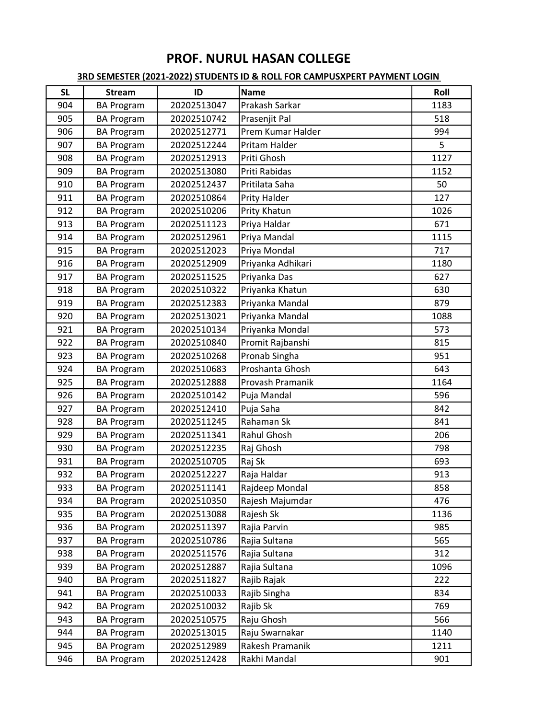| <b>SL</b> | <b>Stream</b>     | ID          | <b>Name</b>       | Roll |
|-----------|-------------------|-------------|-------------------|------|
| 904       | <b>BA Program</b> | 20202513047 | Prakash Sarkar    | 1183 |
| 905       | <b>BA Program</b> | 20202510742 | Prasenjit Pal     | 518  |
| 906       | <b>BA Program</b> | 20202512771 | Prem Kumar Halder | 994  |
| 907       | <b>BA Program</b> | 20202512244 | Pritam Halder     | 5    |
| 908       | <b>BA Program</b> | 20202512913 | Priti Ghosh       | 1127 |
| 909       | <b>BA Program</b> | 20202513080 | Priti Rabidas     | 1152 |
| 910       | <b>BA Program</b> | 20202512437 | Pritilata Saha    | 50   |
| 911       | <b>BA Program</b> | 20202510864 | Prity Halder      | 127  |
| 912       | <b>BA Program</b> | 20202510206 | Prity Khatun      | 1026 |
| 913       | <b>BA Program</b> | 20202511123 | Priya Haldar      | 671  |
| 914       | <b>BA Program</b> | 20202512961 | Priya Mandal      | 1115 |
| 915       | <b>BA Program</b> | 20202512023 | Priya Mondal      | 717  |
| 916       | <b>BA Program</b> | 20202512909 | Priyanka Adhikari | 1180 |
| 917       | <b>BA Program</b> | 20202511525 | Priyanka Das      | 627  |
| 918       | <b>BA Program</b> | 20202510322 | Priyanka Khatun   | 630  |
| 919       | <b>BA Program</b> | 20202512383 | Priyanka Mandal   | 879  |
| 920       | <b>BA Program</b> | 20202513021 | Priyanka Mandal   | 1088 |
| 921       | <b>BA Program</b> | 20202510134 | Priyanka Mondal   | 573  |
| 922       | <b>BA Program</b> | 20202510840 | Promit Rajbanshi  | 815  |
| 923       | <b>BA Program</b> | 20202510268 | Pronab Singha     | 951  |
| 924       | <b>BA Program</b> | 20202510683 | Proshanta Ghosh   | 643  |
| 925       | <b>BA Program</b> | 20202512888 | Provash Pramanik  | 1164 |
| 926       | <b>BA Program</b> | 20202510142 | Puja Mandal       | 596  |
| 927       | <b>BA Program</b> | 20202512410 | Puja Saha         | 842  |
| 928       | <b>BA Program</b> | 20202511245 | Rahaman Sk        | 841  |
| 929       | <b>BA Program</b> | 20202511341 | Rahul Ghosh       | 206  |
| 930       | <b>BA Program</b> | 20202512235 | Raj Ghosh         | 798  |
| 931       | <b>BA Program</b> | 20202510705 | Raj Sk            | 693  |
| 932       | <b>BA Program</b> | 20202512227 | Raja Haldar       | 913  |
| 933       | <b>BA Program</b> | 20202511141 | Rajdeep Mondal    | 858  |
| 934       | <b>BA Program</b> | 20202510350 | Rajesh Majumdar   | 476  |
| 935       | <b>BA Program</b> | 20202513088 | Rajesh Sk         | 1136 |
| 936       | <b>BA Program</b> | 20202511397 | Rajia Parvin      | 985  |
| 937       | <b>BA Program</b> | 20202510786 | Rajia Sultana     | 565  |
| 938       | <b>BA Program</b> | 20202511576 | Rajia Sultana     | 312  |
| 939       | <b>BA Program</b> | 20202512887 | Rajia Sultana     | 1096 |
| 940       | <b>BA Program</b> | 20202511827 | Rajib Rajak       | 222  |
| 941       | <b>BA Program</b> | 20202510033 | Rajib Singha      | 834  |
| 942       | <b>BA Program</b> | 20202510032 | Rajib Sk          | 769  |
| 943       | <b>BA Program</b> | 20202510575 | Raju Ghosh        | 566  |
| 944       | <b>BA Program</b> | 20202513015 | Raju Swarnakar    | 1140 |
| 945       | <b>BA Program</b> | 20202512989 | Rakesh Pramanik   | 1211 |
| 946       | <b>BA Program</b> | 20202512428 | Rakhi Mandal      | 901  |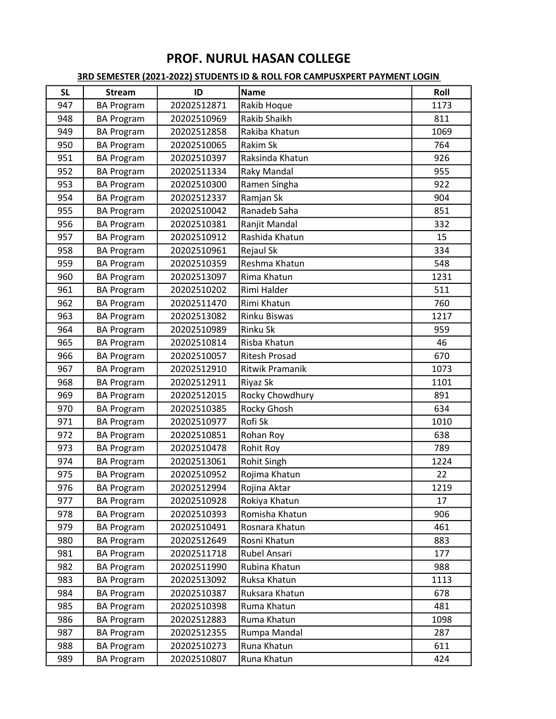| <b>SL</b> | <b>Stream</b>     | ID          | <b>Name</b>            | Roll |
|-----------|-------------------|-------------|------------------------|------|
| 947       | <b>BA Program</b> | 20202512871 | Rakib Hoque            | 1173 |
| 948       | <b>BA Program</b> | 20202510969 | Rakib Shaikh           | 811  |
| 949       | <b>BA Program</b> | 20202512858 | Rakiba Khatun          | 1069 |
| 950       | <b>BA Program</b> | 20202510065 | Rakim Sk               | 764  |
| 951       | <b>BA Program</b> | 20202510397 | Raksinda Khatun        | 926  |
| 952       | <b>BA Program</b> | 20202511334 | Raky Mandal            | 955  |
| 953       | <b>BA Program</b> | 20202510300 | Ramen Singha           | 922  |
| 954       | <b>BA Program</b> | 20202512337 | Ramjan Sk              | 904  |
| 955       | <b>BA Program</b> | 20202510042 | Ranadeb Saha           | 851  |
| 956       | <b>BA Program</b> | 20202510381 | Ranjit Mandal          | 332  |
| 957       | <b>BA Program</b> | 20202510912 | Rashida Khatun         | 15   |
| 958       | <b>BA Program</b> | 20202510961 | Rejaul Sk              | 334  |
| 959       | <b>BA Program</b> | 20202510359 | Reshma Khatun          | 548  |
| 960       | <b>BA Program</b> | 20202513097 | Rima Khatun            | 1231 |
| 961       | <b>BA Program</b> | 20202510202 | Rimi Halder            | 511  |
| 962       | <b>BA Program</b> | 20202511470 | Rimi Khatun            | 760  |
| 963       | <b>BA Program</b> | 20202513082 | <b>Rinku Biswas</b>    | 1217 |
| 964       | <b>BA Program</b> | 20202510989 | Rinku Sk               | 959  |
| 965       | <b>BA Program</b> | 20202510814 | Risba Khatun           | 46   |
| 966       | <b>BA Program</b> | 20202510057 | <b>Ritesh Prosad</b>   | 670  |
| 967       | <b>BA Program</b> | 20202512910 | <b>Ritwik Pramanik</b> | 1073 |
| 968       | <b>BA Program</b> | 20202512911 | Riyaz Sk               | 1101 |
| 969       | <b>BA Program</b> | 20202512015 | Rocky Chowdhury        | 891  |
| 970       | <b>BA Program</b> | 20202510385 | Rocky Ghosh            | 634  |
| 971       | <b>BA Program</b> | 20202510977 | Rofi Sk                | 1010 |
| 972       | <b>BA Program</b> | 20202510851 | Rohan Roy              | 638  |
| 973       | <b>BA Program</b> | 20202510478 | Rohit Roy              | 789  |
| 974       | <b>BA Program</b> | 20202513061 | Rohit Singh            | 1224 |
| 975       | <b>BA Program</b> | 20202510952 | Rojima Khatun          | 22   |
| 976       | <b>BA Program</b> | 20202512994 | Rojina Aktar           | 1219 |
| 977       | <b>BA Program</b> | 20202510928 | Rokiya Khatun          | 17   |
| 978       | <b>BA Program</b> | 20202510393 | Romisha Khatun         | 906  |
| 979       | <b>BA Program</b> | 20202510491 | Rosnara Khatun         | 461  |
| 980       | <b>BA Program</b> | 20202512649 | Rosni Khatun           | 883  |
| 981       | <b>BA Program</b> | 20202511718 | Rubel Ansari           | 177  |
| 982       | <b>BA Program</b> | 20202511990 | Rubina Khatun          | 988  |
| 983       | <b>BA Program</b> | 20202513092 | Ruksa Khatun           | 1113 |
| 984       | <b>BA Program</b> | 20202510387 | Ruksara Khatun         | 678  |
| 985       | <b>BA Program</b> | 20202510398 | Ruma Khatun            | 481  |
| 986       | <b>BA Program</b> | 20202512883 | Ruma Khatun            | 1098 |
| 987       | <b>BA Program</b> | 20202512355 | Rumpa Mandal           | 287  |
| 988       | <b>BA Program</b> | 20202510273 | Runa Khatun            | 611  |
| 989       | <b>BA Program</b> | 20202510807 | Runa Khatun            | 424  |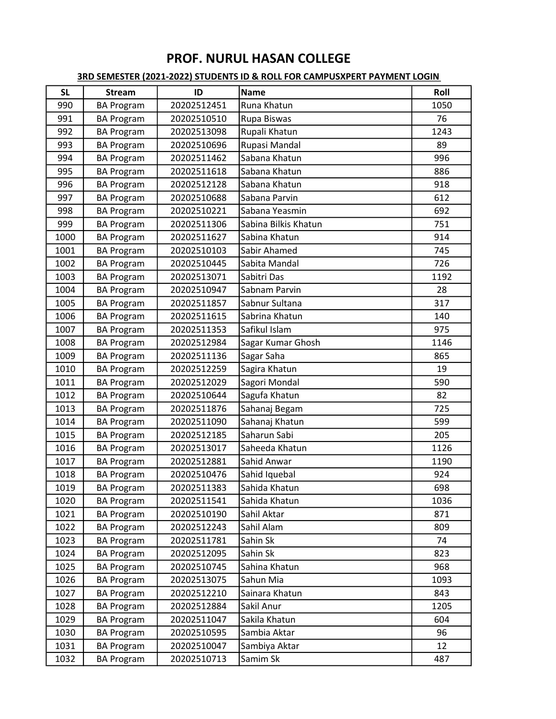| <b>SL</b> | <b>Stream</b>     | ID          | <b>Name</b>          | Roll |
|-----------|-------------------|-------------|----------------------|------|
| 990       | <b>BA Program</b> | 20202512451 | Runa Khatun          | 1050 |
| 991       | <b>BA Program</b> | 20202510510 | Rupa Biswas          | 76   |
| 992       | <b>BA Program</b> | 20202513098 | Rupali Khatun        | 1243 |
| 993       | <b>BA Program</b> | 20202510696 | Rupasi Mandal        | 89   |
| 994       | <b>BA Program</b> | 20202511462 | Sabana Khatun        | 996  |
| 995       | <b>BA Program</b> | 20202511618 | Sabana Khatun        | 886  |
| 996       | <b>BA Program</b> | 20202512128 | Sabana Khatun        | 918  |
| 997       | <b>BA Program</b> | 20202510688 | Sabana Parvin        | 612  |
| 998       | <b>BA Program</b> | 20202510221 | Sabana Yeasmin       | 692  |
| 999       | <b>BA Program</b> | 20202511306 | Sabina Bilkis Khatun | 751  |
| 1000      | <b>BA Program</b> | 20202511627 | Sabina Khatun        | 914  |
| 1001      | <b>BA Program</b> | 20202510103 | Sabir Ahamed         | 745  |
| 1002      | <b>BA Program</b> | 20202510445 | Sabita Mandal        | 726  |
| 1003      | <b>BA Program</b> | 20202513071 | Sabitri Das          | 1192 |
| 1004      | <b>BA Program</b> | 20202510947 | Sabnam Parvin        | 28   |
| 1005      | <b>BA Program</b> | 20202511857 | Sabnur Sultana       | 317  |
| 1006      | <b>BA Program</b> | 20202511615 | Sabrina Khatun       | 140  |
| 1007      | <b>BA Program</b> | 20202511353 | Safikul Islam        | 975  |
| 1008      | <b>BA Program</b> | 20202512984 | Sagar Kumar Ghosh    | 1146 |
| 1009      | <b>BA Program</b> | 20202511136 | Sagar Saha           | 865  |
| 1010      | <b>BA Program</b> | 20202512259 | Sagira Khatun        | 19   |
| 1011      | <b>BA Program</b> | 20202512029 | Sagori Mondal        | 590  |
| 1012      | <b>BA Program</b> | 20202510644 | Sagufa Khatun        | 82   |
| 1013      | <b>BA Program</b> | 20202511876 | Sahanaj Begam        | 725  |
| 1014      | <b>BA Program</b> | 20202511090 | Sahanaj Khatun       | 599  |
| 1015      | <b>BA Program</b> | 20202512185 | Saharun Sabi         | 205  |
| 1016      | <b>BA Program</b> | 20202513017 | Saheeda Khatun       | 1126 |
| 1017      | <b>BA Program</b> | 20202512881 | Sahid Anwar          | 1190 |
| 1018      | <b>BA Program</b> | 20202510476 | Sahid Iquebal        | 924  |
| 1019      | <b>BA Program</b> | 20202511383 | Sahida Khatun        | 698  |
| 1020      | <b>BA Program</b> | 20202511541 | Sahida Khatun        | 1036 |
| 1021      | <b>BA Program</b> | 20202510190 | Sahil Aktar          | 871  |
| 1022      | <b>BA Program</b> | 20202512243 | Sahil Alam           | 809  |
| 1023      | <b>BA Program</b> | 20202511781 | Sahin Sk             | 74   |
| 1024      | <b>BA Program</b> | 20202512095 | Sahin Sk             | 823  |
| 1025      | <b>BA Program</b> | 20202510745 | Sahina Khatun        | 968  |
| 1026      | <b>BA Program</b> | 20202513075 | Sahun Mia            | 1093 |
| 1027      | <b>BA Program</b> | 20202512210 | Sainara Khatun       | 843  |
| 1028      | <b>BA Program</b> | 20202512884 | Sakil Anur           | 1205 |
| 1029      | <b>BA Program</b> | 20202511047 | Sakila Khatun        | 604  |
| 1030      | <b>BA Program</b> | 20202510595 | Sambia Aktar         | 96   |
| 1031      | <b>BA Program</b> | 20202510047 | Sambiya Aktar        | 12   |
| 1032      | <b>BA Program</b> | 20202510713 | Samim Sk             | 487  |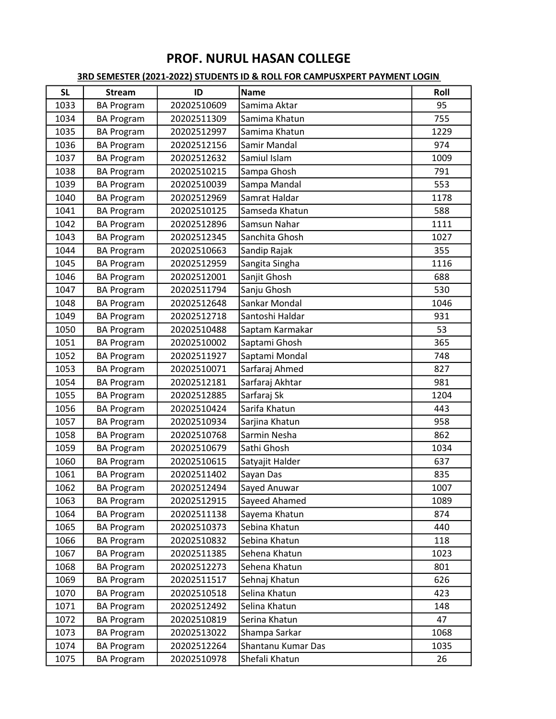| <b>SL</b> | <b>Stream</b>     | ID          | <b>Name</b>        | Roll |
|-----------|-------------------|-------------|--------------------|------|
| 1033      | <b>BA Program</b> | 20202510609 | Samima Aktar       | 95   |
| 1034      | <b>BA Program</b> | 20202511309 | Samima Khatun      | 755  |
| 1035      | <b>BA Program</b> | 20202512997 | Samima Khatun      | 1229 |
| 1036      | <b>BA Program</b> | 20202512156 | Samir Mandal       | 974  |
| 1037      | <b>BA Program</b> | 20202512632 | Samiul Islam       | 1009 |
| 1038      | <b>BA Program</b> | 20202510215 | Sampa Ghosh        | 791  |
| 1039      | <b>BA Program</b> | 20202510039 | Sampa Mandal       | 553  |
| 1040      | <b>BA Program</b> | 20202512969 | Samrat Haldar      | 1178 |
| 1041      | <b>BA Program</b> | 20202510125 | Samseda Khatun     | 588  |
| 1042      | <b>BA Program</b> | 20202512896 | Samsun Nahar       | 1111 |
| 1043      | <b>BA Program</b> | 20202512345 | Sanchita Ghosh     | 1027 |
| 1044      | <b>BA Program</b> | 20202510663 | Sandip Rajak       | 355  |
| 1045      | <b>BA Program</b> | 20202512959 | Sangita Singha     | 1116 |
| 1046      | <b>BA Program</b> | 20202512001 | Sanjit Ghosh       | 688  |
| 1047      | <b>BA Program</b> | 20202511794 | Sanju Ghosh        | 530  |
| 1048      | <b>BA Program</b> | 20202512648 | Sankar Mondal      | 1046 |
| 1049      | <b>BA Program</b> | 20202512718 | Santoshi Haldar    | 931  |
| 1050      | <b>BA Program</b> | 20202510488 | Saptam Karmakar    | 53   |
| 1051      | <b>BA Program</b> | 20202510002 | Saptami Ghosh      | 365  |
| 1052      | <b>BA Program</b> | 20202511927 | Saptami Mondal     | 748  |
| 1053      | <b>BA Program</b> | 20202510071 | Sarfaraj Ahmed     | 827  |
| 1054      | <b>BA Program</b> | 20202512181 | Sarfaraj Akhtar    | 981  |
| 1055      | <b>BA Program</b> | 20202512885 | Sarfaraj Sk        | 1204 |
| 1056      | <b>BA Program</b> | 20202510424 | Sarifa Khatun      | 443  |
| 1057      | <b>BA Program</b> | 20202510934 | Sarjina Khatun     | 958  |
| 1058      | <b>BA Program</b> | 20202510768 | Sarmin Nesha       | 862  |
| 1059      | <b>BA Program</b> | 20202510679 | Sathi Ghosh        | 1034 |
| 1060      | <b>BA Program</b> | 20202510615 | Satyajit Halder    | 637  |
| 1061      | <b>BA Program</b> | 20202511402 | Sayan Das          | 835  |
| 1062      | <b>BA Program</b> | 20202512494 | Sayed Anuwar       | 1007 |
| 1063      | <b>BA Program</b> | 20202512915 | Sayeed Ahamed      | 1089 |
| 1064      | <b>BA Program</b> | 20202511138 | Sayema Khatun      | 874  |
| 1065      | <b>BA Program</b> | 20202510373 | Sebina Khatun      | 440  |
| 1066      | <b>BA Program</b> | 20202510832 | Sebina Khatun      | 118  |
| 1067      | <b>BA Program</b> | 20202511385 | Sehena Khatun      | 1023 |
| 1068      | <b>BA Program</b> | 20202512273 | Sehena Khatun      | 801  |
| 1069      | <b>BA Program</b> | 20202511517 | Sehnaj Khatun      | 626  |
| 1070      | <b>BA Program</b> | 20202510518 | Selina Khatun      | 423  |
| 1071      | <b>BA Program</b> | 20202512492 | Selina Khatun      | 148  |
| 1072      | <b>BA Program</b> | 20202510819 | Serina Khatun      | 47   |
| 1073      | <b>BA Program</b> | 20202513022 | Shampa Sarkar      | 1068 |
| 1074      | <b>BA Program</b> | 20202512264 | Shantanu Kumar Das | 1035 |
| 1075      | <b>BA Program</b> | 20202510978 | Shefali Khatun     | 26   |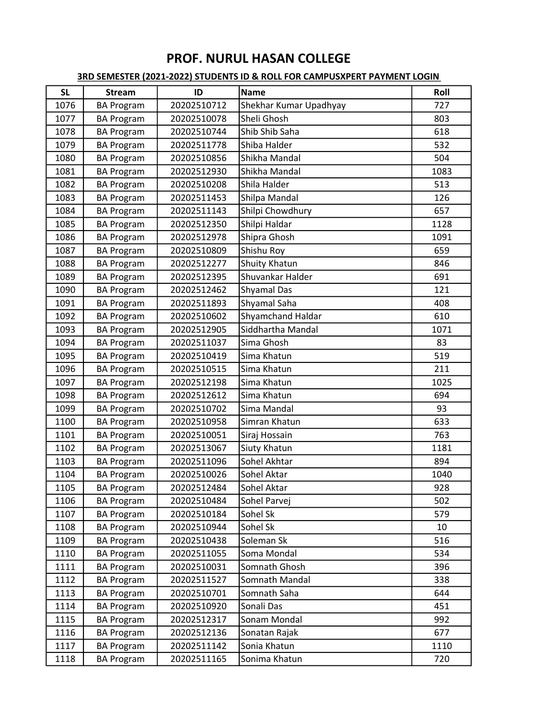| <b>SL</b> | <b>Stream</b>     | ID          | <b>Name</b>            | Roll |
|-----------|-------------------|-------------|------------------------|------|
| 1076      | <b>BA Program</b> | 20202510712 | Shekhar Kumar Upadhyay | 727  |
| 1077      | <b>BA Program</b> | 20202510078 | Sheli Ghosh            | 803  |
| 1078      | <b>BA Program</b> | 20202510744 | Shib Shib Saha         | 618  |
| 1079      | <b>BA Program</b> | 20202511778 | Shiba Halder           | 532  |
| 1080      | <b>BA Program</b> | 20202510856 | Shikha Mandal          | 504  |
| 1081      | <b>BA Program</b> | 20202512930 | Shikha Mandal          | 1083 |
| 1082      | <b>BA Program</b> | 20202510208 | Shila Halder           | 513  |
| 1083      | <b>BA Program</b> | 20202511453 | Shilpa Mandal          | 126  |
| 1084      | <b>BA Program</b> | 20202511143 | Shilpi Chowdhury       | 657  |
| 1085      | <b>BA Program</b> | 20202512350 | Shilpi Haldar          | 1128 |
| 1086      | <b>BA Program</b> | 20202512978 | Shipra Ghosh           | 1091 |
| 1087      | <b>BA Program</b> | 20202510809 | Shishu Roy             | 659  |
| 1088      | <b>BA Program</b> | 20202512277 | Shuity Khatun          | 846  |
| 1089      | <b>BA Program</b> | 20202512395 | Shuvankar Halder       | 691  |
| 1090      | <b>BA Program</b> | 20202512462 | Shyamal Das            | 121  |
| 1091      | <b>BA Program</b> | 20202511893 | Shyamal Saha           | 408  |
| 1092      | <b>BA Program</b> | 20202510602 | Shyamchand Haldar      | 610  |
| 1093      | <b>BA Program</b> | 20202512905 | Siddhartha Mandal      | 1071 |
| 1094      | <b>BA Program</b> | 20202511037 | Sima Ghosh             | 83   |
| 1095      | <b>BA Program</b> | 20202510419 | Sima Khatun            | 519  |
| 1096      | <b>BA Program</b> | 20202510515 | Sima Khatun            | 211  |
| 1097      | <b>BA Program</b> | 20202512198 | Sima Khatun            | 1025 |
| 1098      | <b>BA Program</b> | 20202512612 | Sima Khatun            | 694  |
| 1099      | <b>BA Program</b> | 20202510702 | Sima Mandal            | 93   |
| 1100      | <b>BA Program</b> | 20202510958 | Simran Khatun          | 633  |
| 1101      | <b>BA Program</b> | 20202510051 | Siraj Hossain          | 763  |
| 1102      | <b>BA Program</b> | 20202513067 | Siuty Khatun           | 1181 |
| 1103      | <b>BA Program</b> | 20202511096 | Sohel Akhtar           | 894  |
| 1104      | <b>BA Program</b> | 20202510026 | Sohel Aktar            | 1040 |
| 1105      | <b>BA Program</b> | 20202512484 | Sohel Aktar            | 928  |
| 1106      | <b>BA Program</b> | 20202510484 | Sohel Parvej           | 502  |
| 1107      | <b>BA Program</b> | 20202510184 | Sohel Sk               | 579  |
| 1108      | <b>BA Program</b> | 20202510944 | Sohel Sk               | 10   |
| 1109      | <b>BA Program</b> | 20202510438 | Soleman Sk             | 516  |
| 1110      | <b>BA Program</b> | 20202511055 | Soma Mondal            | 534  |
| 1111      | <b>BA Program</b> | 20202510031 | Somnath Ghosh          | 396  |
| 1112      | <b>BA Program</b> | 20202511527 | Somnath Mandal         | 338  |
| 1113      | <b>BA Program</b> | 20202510701 | Somnath Saha           | 644  |
| 1114      | <b>BA Program</b> | 20202510920 | Sonali Das             | 451  |
| 1115      | <b>BA Program</b> | 20202512317 | Sonam Mondal           | 992  |
| 1116      | <b>BA Program</b> | 20202512136 | Sonatan Rajak          | 677  |
| 1117      | <b>BA Program</b> | 20202511142 | Sonia Khatun           | 1110 |
| 1118      | <b>BA Program</b> | 20202511165 | Sonima Khatun          | 720  |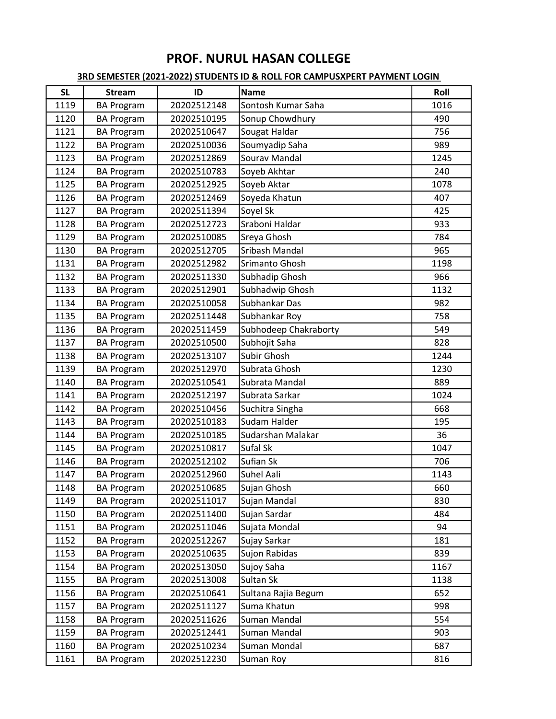| <b>SL</b> | <b>Stream</b>     | ID          | <b>Name</b>           | Roll |
|-----------|-------------------|-------------|-----------------------|------|
| 1119      | <b>BA Program</b> | 20202512148 | Sontosh Kumar Saha    | 1016 |
| 1120      | <b>BA Program</b> | 20202510195 | Sonup Chowdhury       | 490  |
| 1121      | <b>BA Program</b> | 20202510647 | Sougat Haldar         | 756  |
| 1122      | <b>BA Program</b> | 20202510036 | Soumyadip Saha        | 989  |
| 1123      | <b>BA Program</b> | 20202512869 | Sourav Mandal         | 1245 |
| 1124      | <b>BA Program</b> | 20202510783 | Soyeb Akhtar          | 240  |
| 1125      | <b>BA Program</b> | 20202512925 | Soyeb Aktar           | 1078 |
| 1126      | <b>BA Program</b> | 20202512469 | Soyeda Khatun         | 407  |
| 1127      | <b>BA Program</b> | 20202511394 | Soyel Sk              | 425  |
| 1128      | <b>BA Program</b> | 20202512723 | Sraboni Haldar        | 933  |
| 1129      | <b>BA Program</b> | 20202510085 | Sreya Ghosh           | 784  |
| 1130      | <b>BA Program</b> | 20202512705 | Sribash Mandal        | 965  |
| 1131      | <b>BA Program</b> | 20202512982 | Srimanto Ghosh        | 1198 |
| 1132      | <b>BA Program</b> | 20202511330 | Subhadip Ghosh        | 966  |
| 1133      | <b>BA Program</b> | 20202512901 | Subhadwip Ghosh       | 1132 |
| 1134      | <b>BA Program</b> | 20202510058 | Subhankar Das         | 982  |
| 1135      | <b>BA Program</b> | 20202511448 | Subhankar Roy         | 758  |
| 1136      | <b>BA Program</b> | 20202511459 | Subhodeep Chakraborty | 549  |
| 1137      | <b>BA Program</b> | 20202510500 | Subhojit Saha         | 828  |
| 1138      | <b>BA Program</b> | 20202513107 | Subir Ghosh           | 1244 |
| 1139      | <b>BA Program</b> | 20202512970 | Subrata Ghosh         | 1230 |
| 1140      | <b>BA Program</b> | 20202510541 | Subrata Mandal        | 889  |
| 1141      | <b>BA Program</b> | 20202512197 | Subrata Sarkar        | 1024 |
| 1142      | <b>BA Program</b> | 20202510456 | Suchitra Singha       | 668  |
| 1143      | <b>BA Program</b> | 20202510183 | Sudam Halder          | 195  |
| 1144      | <b>BA Program</b> | 20202510185 | Sudarshan Malakar     | 36   |
| 1145      | <b>BA Program</b> | 20202510817 | Sufal Sk              | 1047 |
| 1146      | <b>BA Program</b> | 20202512102 | Sufian Sk             | 706  |
| 1147      | <b>BA Program</b> | 20202512960 | Suhel Aali            | 1143 |
| 1148      | <b>BA Program</b> | 20202510685 | Sujan Ghosh           | 660  |
| 1149      | <b>BA Program</b> | 20202511017 | Sujan Mandal          | 830  |
| 1150      | <b>BA Program</b> | 20202511400 | Sujan Sardar          | 484  |
| 1151      | <b>BA Program</b> | 20202511046 | Sujata Mondal         | 94   |
| 1152      | <b>BA Program</b> | 20202512267 | Sujay Sarkar          | 181  |
| 1153      | <b>BA Program</b> | 20202510635 | Sujon Rabidas         | 839  |
| 1154      | <b>BA Program</b> | 20202513050 | Sujoy Saha            | 1167 |
| 1155      | <b>BA Program</b> | 20202513008 | Sultan Sk             | 1138 |
| 1156      | <b>BA Program</b> | 20202510641 | Sultana Rajia Begum   | 652  |
| 1157      | <b>BA Program</b> | 20202511127 | Suma Khatun           | 998  |
| 1158      | <b>BA Program</b> | 20202511626 | Suman Mandal          | 554  |
| 1159      | <b>BA Program</b> | 20202512441 | Suman Mandal          | 903  |
| 1160      | <b>BA Program</b> | 20202510234 | Suman Mondal          | 687  |
| 1161      | <b>BA Program</b> | 20202512230 | Suman Roy             | 816  |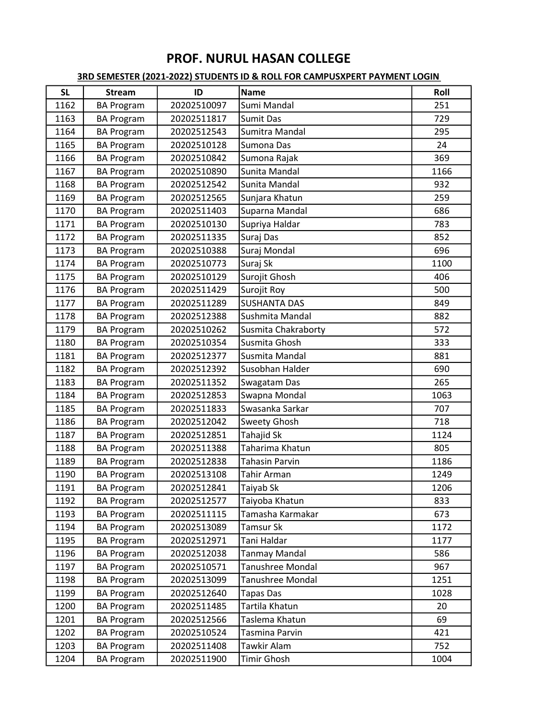| <b>SL</b> | <b>Stream</b>     | ID          | <b>Name</b>             | Roll |
|-----------|-------------------|-------------|-------------------------|------|
| 1162      | <b>BA Program</b> | 20202510097 | Sumi Mandal             | 251  |
| 1163      | <b>BA Program</b> | 20202511817 | Sumit Das               | 729  |
| 1164      | <b>BA Program</b> | 20202512543 | Sumitra Mandal          | 295  |
| 1165      | <b>BA Program</b> | 20202510128 | Sumona Das              | 24   |
| 1166      | <b>BA Program</b> | 20202510842 | Sumona Rajak            | 369  |
| 1167      | <b>BA Program</b> | 20202510890 | Sunita Mandal           | 1166 |
| 1168      | <b>BA Program</b> | 20202512542 | Sunita Mandal           | 932  |
| 1169      | <b>BA Program</b> | 20202512565 | Sunjara Khatun          | 259  |
| 1170      | <b>BA Program</b> | 20202511403 | Suparna Mandal          | 686  |
| 1171      | <b>BA Program</b> | 20202510130 | Supriya Haldar          | 783  |
| 1172      | <b>BA Program</b> | 20202511335 | Suraj Das               | 852  |
| 1173      | <b>BA Program</b> | 20202510388 | Suraj Mondal            | 696  |
| 1174      | <b>BA Program</b> | 20202510773 | Suraj Sk                | 1100 |
| 1175      | <b>BA Program</b> | 20202510129 | Surojit Ghosh           | 406  |
| 1176      | <b>BA Program</b> | 20202511429 | Surojit Roy             | 500  |
| 1177      | <b>BA Program</b> | 20202511289 | <b>SUSHANTA DAS</b>     | 849  |
| 1178      | <b>BA Program</b> | 20202512388 | Sushmita Mandal         | 882  |
| 1179      | <b>BA Program</b> | 20202510262 | Susmita Chakraborty     | 572  |
| 1180      | <b>BA Program</b> | 20202510354 | Susmita Ghosh           | 333  |
| 1181      | <b>BA Program</b> | 20202512377 | Susmita Mandal          | 881  |
| 1182      | <b>BA Program</b> | 20202512392 | Susobhan Halder         | 690  |
| 1183      | <b>BA Program</b> | 20202511352 | Swagatam Das            | 265  |
| 1184      | <b>BA Program</b> | 20202512853 | Swapna Mondal           | 1063 |
| 1185      | <b>BA Program</b> | 20202511833 | Swasanka Sarkar         | 707  |
| 1186      | <b>BA Program</b> | 20202512042 | <b>Sweety Ghosh</b>     | 718  |
| 1187      | <b>BA Program</b> | 20202512851 | Tahajid Sk              | 1124 |
| 1188      | <b>BA Program</b> | 20202511388 | Taharima Khatun         | 805  |
| 1189      | <b>BA Program</b> | 20202512838 | <b>Tahasin Parvin</b>   | 1186 |
| 1190      | <b>BA Program</b> | 20202513108 | Tahir Arman             | 1249 |
| 1191      | <b>BA Program</b> | 20202512841 | Taiyab Sk               | 1206 |
| 1192      | <b>BA Program</b> | 20202512577 | Taiyoba Khatun          | 833  |
| 1193      | <b>BA Program</b> | 20202511115 | Tamasha Karmakar        | 673  |
| 1194      | <b>BA Program</b> | 20202513089 | Tamsur Sk               | 1172 |
| 1195      | <b>BA Program</b> | 20202512971 | Tani Haldar             | 1177 |
| 1196      | <b>BA Program</b> | 20202512038 | <b>Tanmay Mandal</b>    | 586  |
| 1197      | <b>BA Program</b> | 20202510571 | <b>Tanushree Mondal</b> | 967  |
| 1198      | <b>BA Program</b> | 20202513099 | Tanushree Mondal        | 1251 |
| 1199      | <b>BA Program</b> | 20202512640 | <b>Tapas Das</b>        | 1028 |
| 1200      | <b>BA Program</b> | 20202511485 | Tartila Khatun          | 20   |
| 1201      | <b>BA Program</b> | 20202512566 | Taslema Khatun          | 69   |
| 1202      | <b>BA Program</b> | 20202510524 | Tasmina Parvin          | 421  |
| 1203      | <b>BA Program</b> | 20202511408 | Tawkir Alam             | 752  |
| 1204      | <b>BA Program</b> | 20202511900 | Timir Ghosh             | 1004 |